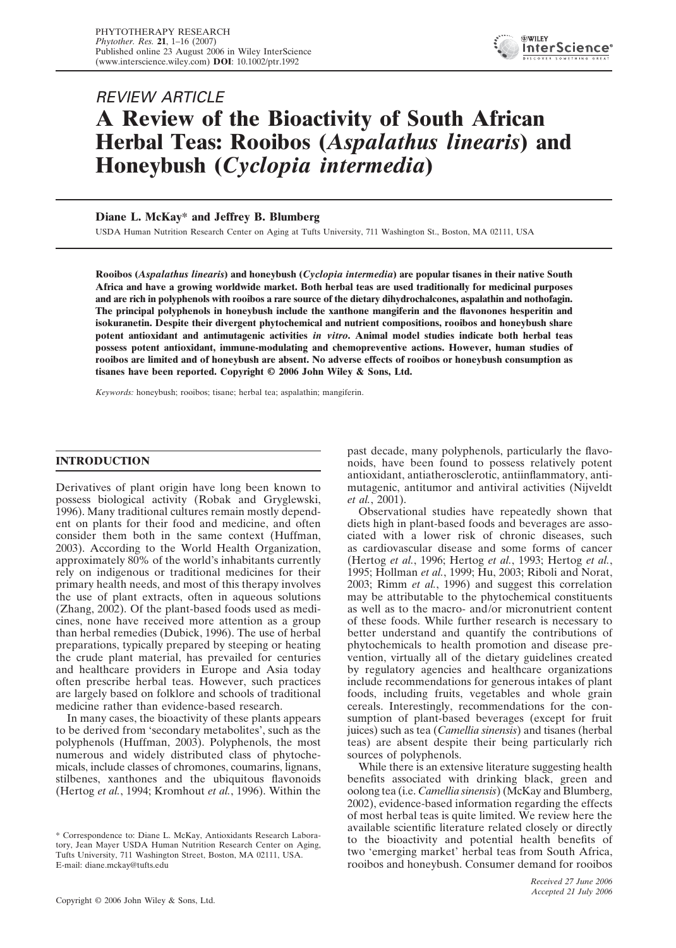

# REVIEW ARTICLE **A Review of the Bioactivity of South African Herbal Teas: Rooibos (***Aspalathus linearis***) and Honeybush (***Cyclopia intermedia***)**

# **Diane L. McKay\* and Jeffrey B. Blumberg**

USDA Human Nutrition Research Center on Aging at Tufts University, 711 Washington St., Boston, MA 02111, USA

**Rooibos (***Aspalathus linearis***) and honeybush (***Cyclopia intermedia***) are popular tisanes in their native South Africa and have a growing worldwide market. Both herbal teas are used traditionally for medicinal purposes and are rich in polyphenols with rooibos a rare source of the dietary dihydrochalcones, aspalathin and nothofagin. The principal polyphenols in honeybush include the xanthone mangiferin and the flavonones hesperitin and isokuranetin. Despite their divergent phytochemical and nutrient compositions, rooibos and honeybush share potent antioxidant and antimutagenic activities** *in vitro***. Animal model studies indicate both herbal teas possess potent antioxidant, immune-modulating and chemopreventive actions. However, human studies of rooibos are limited and of honeybush are absent. No adverse effects of rooibos or honeybush consumption as tisanes have been reported. Copyright © 2006 John Wiley & Sons, Ltd.**

*Keywords:* honeybush; rooibos; tisane; herbal tea; aspalathin; mangiferin.

# **INTRODUCTION**

Derivatives of plant origin have long been known to possess biological activity (Robak and Gryglewski, 1996). Many traditional cultures remain mostly dependent on plants for their food and medicine, and often consider them both in the same context (Huffman, 2003). According to the World Health Organization, approximately 80% of the world's inhabitants currently rely on indigenous or traditional medicines for their primary health needs, and most of this therapy involves the use of plant extracts, often in aqueous solutions (Zhang, 2002). Of the plant-based foods used as medicines, none have received more attention as a group than herbal remedies (Dubick, 1996). The use of herbal preparations, typically prepared by steeping or heating the crude plant material, has prevailed for centuries and healthcare providers in Europe and Asia today often prescribe herbal teas. However, such practices are largely based on folklore and schools of traditional medicine rather than evidence-based research.

In many cases, the bioactivity of these plants appears to be derived from 'secondary metabolites', such as the polyphenols (Huffman, 2003). Polyphenols, the most numerous and widely distributed class of phytochemicals, include classes of chromones, coumarins, lignans, stilbenes, xanthones and the ubiquitous flavonoids (Hertog *et al.*, 1994; Kromhout *et al.*, 1996). Within the past decade, many polyphenols, particularly the flavonoids, have been found to possess relatively potent antioxidant, antiatherosclerotic, antiinflammatory, antimutagenic, antitumor and antiviral activities (Nijveldt *et al.*, 2001).

Observational studies have repeatedly shown that diets high in plant-based foods and beverages are associated with a lower risk of chronic diseases, such as cardiovascular disease and some forms of cancer (Hertog *et al.*, 1996; Hertog *et al.*, 1993; Hertog *et al.*, 1995; Hollman *et al.*, 1999; Hu, 2003; Riboli and Norat, 2003; Rimm *et al.*, 1996) and suggest this correlation may be attributable to the phytochemical constituents as well as to the macro- and/or micronutrient content of these foods. While further research is necessary to better understand and quantify the contributions of phytochemicals to health promotion and disease prevention, virtually all of the dietary guidelines created by regulatory agencies and healthcare organizations include recommendations for generous intakes of plant foods, including fruits, vegetables and whole grain cereals. Interestingly, recommendations for the consumption of plant-based beverages (except for fruit juices) such as tea (*Camellia sinensis*) and tisanes (herbal teas) are absent despite their being particularly rich sources of polyphenols.

While there is an extensive literature suggesting health benefits associated with drinking black, green and oolong tea (i.e. *Camellia sinensis*) (McKay and Blumberg, 2002), evidence-based information regarding the effects of most herbal teas is quite limited. We review here the available scientific literature related closely or directly to the bioactivity and potential health benefits of two 'emerging market' herbal teas from South Africa, rooibos and honeybush. Consumer demand for rooibos

<sup>\*</sup> Correspondence to: Diane L. McKay, Antioxidants Research Laboratory, Jean Mayer USDA Human Nutrition Research Center on Aging, Tufts University, 711 Washington Street, Boston, MA 02111, USA. E-mail: diane.mckay@tufts.edu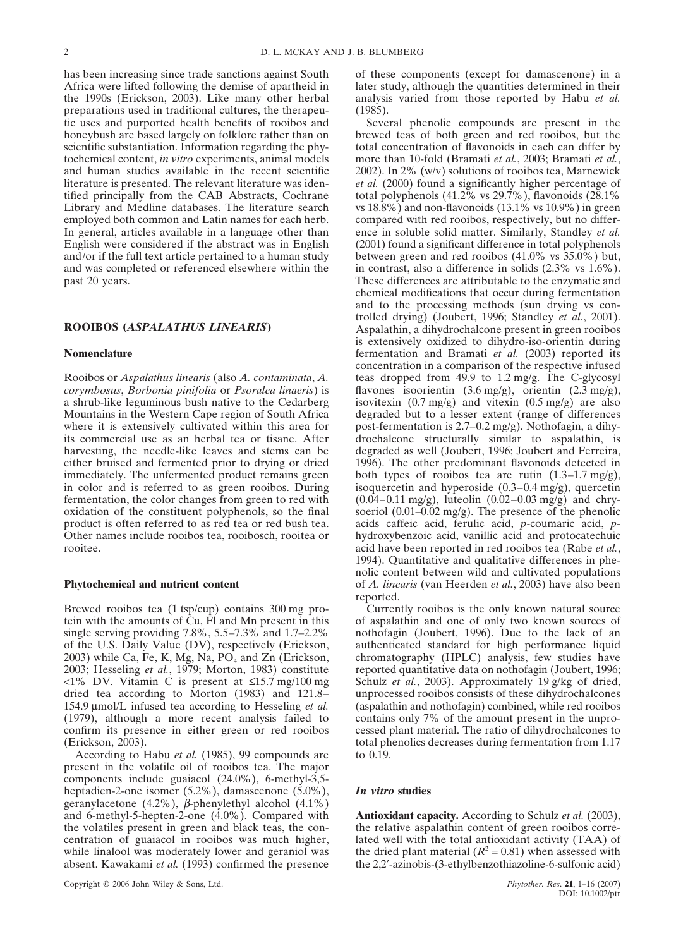has been increasing since trade sanctions against South Africa were lifted following the demise of apartheid in the 1990s (Erickson, 2003). Like many other herbal preparations used in traditional cultures, the therapeutic uses and purported health benefits of rooibos and honeybush are based largely on folklore rather than on scientific substantiation. Information regarding the phytochemical content, *in vitro* experiments, animal models and human studies available in the recent scientific literature is presented. The relevant literature was identified principally from the CAB Abstracts, Cochrane Library and Medline databases. The literature search employed both common and Latin names for each herb. In general, articles available in a language other than English were considered if the abstract was in English and/or if the full text article pertained to a human study and was completed or referenced elsewhere within the past 20 years.

## **ROOIBOS (***ASPALATHUS LINEARIS***)**

### **Nomenclature**

Rooibos or *Aspalathus linearis* (also *A. contaminata*, *A. corymbosus*, *Borbonia pinifolia* or *Psoralea linaeris*) is a shrub-like leguminous bush native to the Cedarberg Mountains in the Western Cape region of South Africa where it is extensively cultivated within this area for its commercial use as an herbal tea or tisane. After harvesting, the needle-like leaves and stems can be either bruised and fermented prior to drying or dried immediately. The unfermented product remains green in color and is referred to as green rooibos. During fermentation, the color changes from green to red with oxidation of the constituent polyphenols, so the final product is often referred to as red tea or red bush tea. Other names include rooibos tea, rooibosch, rooitea or rooitee.

## **Phytochemical and nutrient content**

Brewed rooibos tea (1 tsp/cup) contains 300 mg protein with the amounts of Cu, Fl and Mn present in this single serving providing 7.8%, 5.5–7.3% and 1.7–2.2% of the U.S. Daily Value (DV), respectively (Erickson, 2003) while Ca, Fe, K, Mg, Na,  $PO<sub>4</sub>$  and Zn (Erickson, 2003; Hesseling *et al.*, 1979; Morton, 1983) constitute <1% DV. Vitamin C is present at ≤15.7 mg/100 mg dried tea according to Morton (1983) and 121.8– 154.9 µmol/L infused tea according to Hesseling *et al.* (1979), although a more recent analysis failed to confirm its presence in either green or red rooibos (Erickson, 2003).

According to Habu *et al.* (1985), 99 compounds are present in the volatile oil of rooibos tea. The major components include guaiacol (24.0%), 6-methyl-3,5 heptadien-2-one isomer (5.2%), damascenone (5.0%), geranylacetone (4.2%), β-phenylethyl alcohol (4.1%) and 6-methyl-5-hepten-2-one (4.0%). Compared with the volatiles present in green and black teas, the concentration of guaiacol in rooibos was much higher, while linalool was moderately lower and geraniol was absent. Kawakami *et al.* (1993) confirmed the presence

of these components (except for damascenone) in a later study, although the quantities determined in their analysis varied from those reported by Habu *et al.* (1985).

Several phenolic compounds are present in the brewed teas of both green and red rooibos, but the total concentration of flavonoids in each can differ by more than 10-fold (Bramati *et al.*, 2003; Bramati *et al.*, 2002). In 2% (w/v) solutions of rooibos tea, Marnewick *et al.* (2000) found a significantly higher percentage of total polyphenols (41.2% vs 29.7%), flavonoids (28.1% vs 18.8%) and non-flavonoids (13.1% vs 10.9%) in green compared with red rooibos, respectively, but no difference in soluble solid matter. Similarly, Standley *et al.* (2001) found a significant difference in total polyphenols between green and red rooibos (41.0% vs 35.0%) but, in contrast, also a difference in solids (2.3% vs 1.6%). These differences are attributable to the enzymatic and chemical modifications that occur during fermentation and to the processing methods (sun drying vs controlled drying) (Joubert, 1996; Standley *et al.*, 2001). Aspalathin, a dihydrochalcone present in green rooibos is extensively oxidized to dihydro-iso-orientin during fermentation and Bramati *et al.* (2003) reported its concentration in a comparison of the respective infused teas dropped from 49.9 to 1.2 mg/g. The C-glycosyl flavones isoorientin (3.6 mg/g), orientin (2.3 mg/g), isovitexin  $(0.7 \text{ mg/g})$  and vitexin  $(0.5 \text{ mg/g})$  are also degraded but to a lesser extent (range of differences post-fermentation is 2.7–0.2 mg/g). Nothofagin, a dihydrochalcone structurally similar to aspalathin, is degraded as well (Joubert, 1996; Joubert and Ferreira, 1996). The other predominant flavonoids detected in both types of rooibos tea are rutin  $(1.3-1.7 \text{ mg/g})$ , isoquercetin and hyperoside (0.3–0.4 mg/g), quercetin (0.04–0.11 mg/g), luteolin (0.02–0.03 mg/g) and chrysoeriol (0.01–0.02 mg/g). The presence of the phenolic acids caffeic acid, ferulic acid, *p*-coumaric acid, *p*hydroxybenzoic acid, vanillic acid and protocatechuic acid have been reported in red rooibos tea (Rabe *et al.*, 1994). Quantitative and qualitative differences in phenolic content between wild and cultivated populations of *A. linearis* (van Heerden *et al.*, 2003) have also been reported.

Currently rooibos is the only known natural source of aspalathin and one of only two known sources of nothofagin (Joubert, 1996). Due to the lack of an authenticated standard for high performance liquid chromatography (HPLC) analysis, few studies have reported quantitative data on nothofagin (Joubert, 1996; Schulz *et al.*, 2003). Approximately 19 g/kg of dried, unprocessed rooibos consists of these dihydrochalcones (aspalathin and nothofagin) combined, while red rooibos contains only 7% of the amount present in the unprocessed plant material. The ratio of dihydrochalcones to total phenolics decreases during fermentation from 1.17 to 0.19.

## *In vitro* **studies**

**Antioxidant capacity.** According to Schulz *et al.* (2003), the relative aspalathin content of green rooibos correlated well with the total antioxidant activity (TAA) of the dried plant material  $(R^2 = 0.81)$  when assessed with the 2,2′-azinobis-(3-ethylbenzothiazoline-6-sulfonic acid)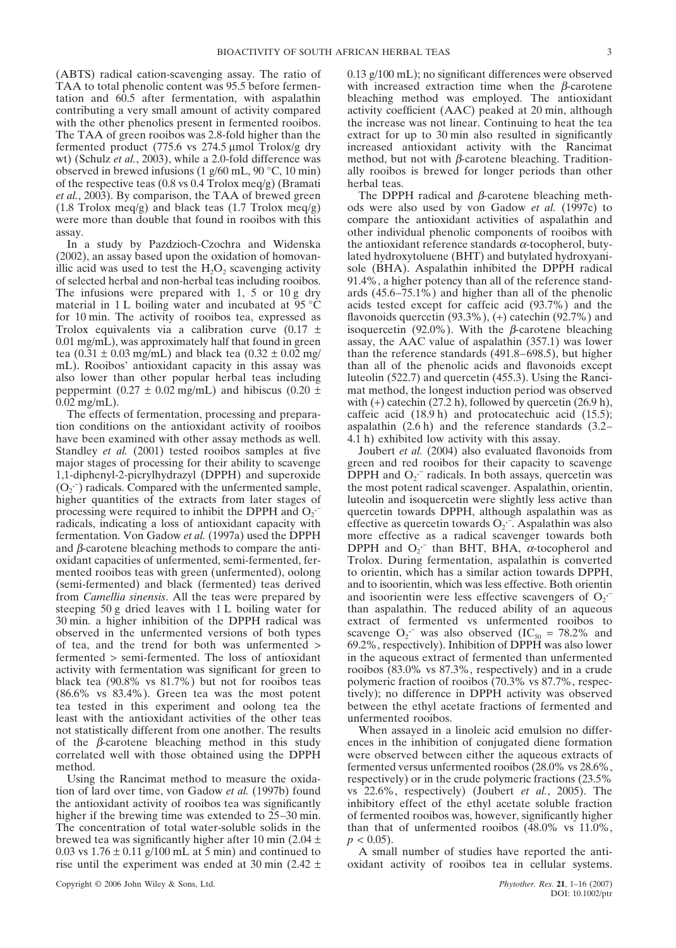(ABTS) radical cation-scavenging assay. The ratio of TAA to total phenolic content was 95.5 before fermentation and 60.5 after fermentation, with aspalathin contributing a very small amount of activity compared with the other phenolics present in fermented rooibos. The TAA of green rooibos was 2.8-fold higher than the fermented product (775.6 vs 274.5 µmol Trolox/g dry wt) (Schulz *et al.*, 2003), while a 2.0-fold difference was observed in brewed infusions (1 g/60 mL, 90 °C, 10 min) of the respective teas (0.8 vs 0.4 Trolox meq/g) (Bramati *et al.*, 2003). By comparison, the TAA of brewed green  $(1.8 \text{ Trolox } \text{meq/g})$  and black teas  $(1.7 \text{ Trolox } \text{meq/g})$ were more than double that found in rooibos with this assay.

In a study by Pazdzioch-Czochra and Widenska (2002), an assay based upon the oxidation of homovanillic acid was used to test the  $H_2O_2$  scavenging activity of selected herbal and non-herbal teas including rooibos. The infusions were prepared with 1, 5 or 10 g dry material in 1 L boiling water and incubated at  $95^{\circ}$ C for 10 min. The activity of rooibos tea, expressed as Trolox equivalents via a calibration curve  $(0.17 \pm 1)$ 0.01 mg/mL), was approximately half that found in green tea  $(0.31 \pm 0.03 \text{ mg/mL})$  and black tea  $(0.32 \pm 0.02 \text{ mg/A})$ mL). Rooibos' antioxidant capacity in this assay was also lower than other popular herbal teas including peppermint (0.27  $\pm$  0.02 mg/mL) and hibiscus (0.20  $\pm$ 0.02 mg/mL).

The effects of fermentation, processing and preparation conditions on the antioxidant activity of rooibos have been examined with other assay methods as well. Standley *et al.* (2001) tested rooibos samples at five major stages of processing for their ability to scavenge 1,1-diphenyl-2-picrylhydrazyl (DPPH) and superoxide  $(O_2^-)$  radicals. Compared with the unfermented sample, higher quantities of the extracts from later stages of processing were required to inhibit the DPPH and  $O_2$ . radicals, indicating a loss of antioxidant capacity with fermentation. Von Gadow *et al.* (1997a) used the DPPH and  $\beta$ -carotene bleaching methods to compare the antioxidant capacities of unfermented, semi-fermented, fermented rooibos teas with green (unfermented), oolong (semi-fermented) and black (fermented) teas derived from *Camellia sinensis*. All the teas were prepared by steeping 50 g dried leaves with 1 L boiling water for 30 min. a higher inhibition of the DPPH radical was observed in the unfermented versions of both types of tea, and the trend for both was unfermented > fermented > semi-fermented. The loss of antioxidant activity with fermentation was significant for green to black tea (90.8% vs 81.7%) but not for rooibos teas (86.6% vs 83.4%). Green tea was the most potent tea tested in this experiment and oolong tea the least with the antioxidant activities of the other teas not statistically different from one another. The results of the  $\beta$ -carotene bleaching method in this study correlated well with those obtained using the DPPH method.

Using the Rancimat method to measure the oxidation of lard over time, von Gadow *et al.* (1997b) found the antioxidant activity of rooibos tea was significantly higher if the brewing time was extended to 25–30 min. The concentration of total water-soluble solids in the brewed tea was significantly higher after 10 min  $(2.04 \pm 1)$ 0.03 vs  $1.76 \pm 0.11$  g/100 mL at 5 min) and continued to rise until the experiment was ended at 30 min (2.42  $\pm$ 

0.13 g/100 mL); no significant differences were observed with increased extraction time when the  $\beta$ -carotene bleaching method was employed. The antioxidant activity coefficient (AAC) peaked at 20 min, although the increase was not linear. Continuing to heat the tea extract for up to 30 min also resulted in significantly increased antioxidant activity with the Rancimat method, but not with  $\beta$ -carotene bleaching. Traditionally rooibos is brewed for longer periods than other herbal teas.

The DPPH radical and  $\beta$ -carotene bleaching methods were also used by von Gadow *et al.* (1997c) to compare the antioxidant activities of aspalathin and other individual phenolic components of rooibos with the antioxidant reference standards  $\alpha$ -tocopherol, butylated hydroxytoluene (BHT) and butylated hydroxyanisole (BHA). Aspalathin inhibited the DPPH radical 91.4%, a higher potency than all of the reference standards (45.6–75.1%) and higher than all of the phenolic acids tested except for caffeic acid (93.7%) and the flavonoids quercetin  $(93.3\%)$ ,  $(+)$  catechin  $(92.7\%)$  and isoquercetin (92.0%). With the β-carotene bleaching assay, the AAC value of aspalathin (357.1) was lower than the reference standards (491.8–698.5), but higher than all of the phenolic acids and flavonoids except luteolin (522.7) and quercetin (455.3). Using the Rancimat method, the longest induction period was observed with  $(+)$  catechin (27.2 h), followed by quercetin (26.9 h), caffeic acid (18.9 h) and protocatechuic acid (15.5); aspalathin (2.6 h) and the reference standards (3.2– 4.1 h) exhibited low activity with this assay.

Joubert *et al.* (2004) also evaluated flavonoids from green and red rooibos for their capacity to scavenge DPPH and  $O_2$ <sup>-</sup> radicals. In both assays, quercetin was the most potent radical scavenger. Aspalathin, orientin, luteolin and isoquercetin were slightly less active than quercetin towards DPPH, although aspalathin was as effective as quercetin towards  $O_2$ . Aspalathin was also more effective as a radical scavenger towards both DPPH and  $O_2$ <sup>-</sup> than BHT, BHA,  $\alpha$ -tocopherol and Trolox. During fermentation, aspalathin is converted to orientin, which has a similar action towards DPPH, and to isoorientin, which was less effective. Both orientin and isoorientin were less effective scavengers of  $O_2$ . than aspalathin. The reduced ability of an aqueous extract of fermented vs unfermented rooibos to scavenge  $O_2$ <sup>-</sup> was also observed (IC<sub>50</sub> = 78.2% and 69.2%, respectively). Inhibition of DPPH was also lower in the aqueous extract of fermented than unfermented rooibos (83.0% vs 87.3%, respectively) and in a crude polymeric fraction of rooibos (70.3% vs 87.7%, respectively); no difference in DPPH activity was observed between the ethyl acetate fractions of fermented and unfermented rooibos.

When assayed in a linoleic acid emulsion no differences in the inhibition of conjugated diene formation were observed between either the aqueous extracts of fermented versus unfermented rooibos (28.0% vs 28.6%, respectively) or in the crude polymeric fractions (23.5% vs 22.6%, respectively) (Joubert *et al.*, 2005). The inhibitory effect of the ethyl acetate soluble fraction of fermented rooibos was, however, significantly higher than that of unfermented rooibos (48.0% vs 11.0%,  $p < 0.05$ ).

A small number of studies have reported the antioxidant activity of rooibos tea in cellular systems.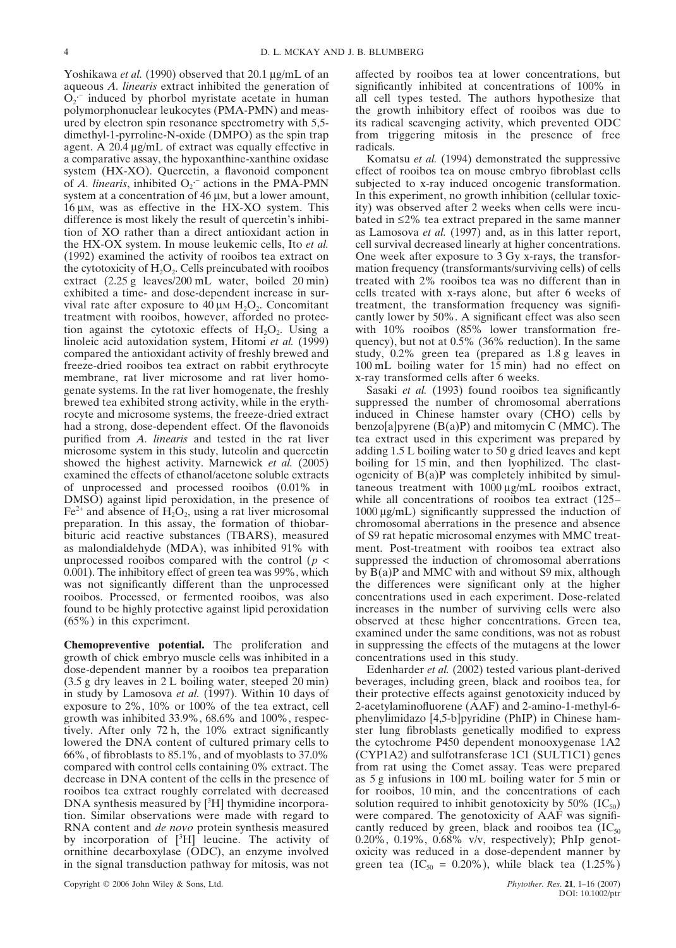Yoshikawa *et al.* (1990) observed that 20.1 µg/mL of an aqueous *A. linearis* extract inhibited the generation of  $\overline{O_2}$  induced by phorbol myristate acetate in human polymorphonuclear leukocytes (PMA-PMN) and measured by electron spin resonance spectrometry with 5,5 dimethyl-1-pyrroline-N-oxide (DMPO) as the spin trap agent. A 20.4 µg/mL of extract was equally effective in a comparative assay, the hypoxanthine-xanthine oxidase system (HX-XO). Quercetin, a flavonoid component of *A. linearis*, inhibited  $O_2$  actions in the PMA-PMN system at a concentration of 46  $\mu$ M, but a lower amount, 16 µM, was as effective in the HX-XO system. This difference is most likely the result of quercetin's inhibition of XO rather than a direct antioxidant action in the HX-OX system. In mouse leukemic cells, Ito *et al.* (1992) examined the activity of rooibos tea extract on the cytotoxicity of  $H_2O_2$ . Cells preincubated with rooibos extract (2.25 g leaves/200 mL water, boiled 20 min) exhibited a time- and dose-dependent increase in survival rate after exposure to 40  $\mu$ m H<sub>2</sub>O<sub>2</sub>. Concomitant treatment with rooibos, however, afforded no protection against the cytotoxic effects of  $H_2O_2$ . Using a linoleic acid autoxidation system, Hitomi *et al.* (1999) compared the antioxidant activity of freshly brewed and freeze-dried rooibos tea extract on rabbit erythrocyte membrane, rat liver microsome and rat liver homogenate systems. In the rat liver homogenate, the freshly brewed tea exhibited strong activity, while in the erythrocyte and microsome systems, the freeze-dried extract had a strong, dose-dependent effect. Of the flavonoids purified from *A. linearis* and tested in the rat liver microsome system in this study, luteolin and quercetin showed the highest activity. Marnewick *et al.* (2005) examined the effects of ethanol/acetone soluble extracts of unprocessed and processed rooibos (0.01% in DMSO) against lipid peroxidation, in the presence of  $Fe<sup>2+</sup>$  and absence of  $H<sub>2</sub>O<sub>2</sub>$ , using a rat liver microsomal preparation. In this assay, the formation of thiobarbituric acid reactive substances (TBARS), measured as malondialdehyde (MDA), was inhibited 91% with unprocessed rooibos compared with the control  $(p <$ 0.001). The inhibitory effect of green tea was 99%, which was not significantly different than the unprocessed rooibos. Processed, or fermented rooibos, was also found to be highly protective against lipid peroxidation (65%) in this experiment.

**Chemopreventive potential.** The proliferation and growth of chick embryo muscle cells was inhibited in a dose-dependent manner by a rooibos tea preparation (3.5 g dry leaves in 2 L boiling water, steeped 20 min) in study by Lamosova *et al.* (1997). Within 10 days of exposure to 2%, 10% or 100% of the tea extract, cell growth was inhibited 33.9%, 68.6% and 100%, respectively. After only 72 h, the 10% extract significantly lowered the DNA content of cultured primary cells to 66%, of fibroblasts to 85.1%, and of myoblasts to 37.0% compared with control cells containing 0% extract. The decrease in DNA content of the cells in the presence of rooibos tea extract roughly correlated with decreased DNA synthesis measured by  $[{}^{3}H]$  thymidine incorporation. Similar observations were made with regard to RNA content and *de novo* protein synthesis measured by incorporation of  $[{}^{3}H]$  leucine. The activity of ornithine decarboxylase (ODC), an enzyme involved in the signal transduction pathway for mitosis, was not affected by rooibos tea at lower concentrations, but significantly inhibited at concentrations of 100% in all cell types tested. The authors hypothesize that the growth inhibitory effect of rooibos was due to its radical scavenging activity, which prevented ODC from triggering mitosis in the presence of free radicals.

Komatsu *et al.* (1994) demonstrated the suppressive effect of rooibos tea on mouse embryo fibroblast cells subjected to x-ray induced oncogenic transformation. In this experiment, no growth inhibition (cellular toxicity) was observed after 2 weeks when cells were incubated in ≤2% tea extract prepared in the same manner as Lamosova *et al.* (1997) and, as in this latter report, cell survival decreased linearly at higher concentrations. One week after exposure to 3 Gy x-rays, the transformation frequency (transformants/surviving cells) of cells treated with 2% rooibos tea was no different than in cells treated with x-rays alone, but after 6 weeks of treatment, the transformation frequency was significantly lower by 50%. A significant effect was also seen with 10% rooibos (85% lower transformation frequency), but not at 0.5% (36% reduction). In the same study, 0.2% green tea (prepared as 1.8 g leaves in 100 mL boiling water for 15 min) had no effect on x-ray transformed cells after 6 weeks.

Sasaki *et al.* (1993) found rooibos tea significantly suppressed the number of chromosomal aberrations induced in Chinese hamster ovary (CHO) cells by benzo[a]pyrene  $(B(a)P)$  and mitomycin C (MMC). The tea extract used in this experiment was prepared by adding 1.5 L boiling water to 50 g dried leaves and kept boiling for 15 min, and then lyophilized. The clastogenicity of  $B(a)P$  was completely inhibited by simultaneous treatment with 1000 µg/mL rooibos extract, while all concentrations of rooibos tea extract (125– 1000 µg/mL) significantly suppressed the induction of chromosomal aberrations in the presence and absence of S9 rat hepatic microsomal enzymes with MMC treatment. Post-treatment with rooibos tea extract also suppressed the induction of chromosomal aberrations by  $B(a)P$  and MMC with and without S9 mix, although the differences were significant only at the higher concentrations used in each experiment. Dose-related increases in the number of surviving cells were also observed at these higher concentrations. Green tea, examined under the same conditions, was not as robust in suppressing the effects of the mutagens at the lower concentrations used in this study.

Edenharder *et al.* (2002) tested various plant-derived beverages, including green, black and rooibos tea, for their protective effects against genotoxicity induced by 2-acetylaminofluorene (AAF) and 2-amino-1-methyl-6 phenylimidazo [4,5-b]pyridine (PhIP) in Chinese hamster lung fibroblasts genetically modified to express the cytochrome P450 dependent monooxygenase 1A2 (CYP1A2) and sulfotransferase 1C1 (SULT1C1) genes from rat using the Comet assay. Teas were prepared as 5 g infusions in 100 mL boiling water for 5 min or for rooibos, 10 min, and the concentrations of each solution required to inhibit genotoxicity by 50%  $(IC_{50})$ were compared. The genotoxicity of AAF was significantly reduced by green, black and rooibos tea  $(IC_{50})$ 0.20%, 0.19%, 0.68% v/v, respectively); PhIp genotoxicity was reduced in a dose-dependent manner by green tea (IC<sub>50</sub> = 0.20%), while black tea (1.25%)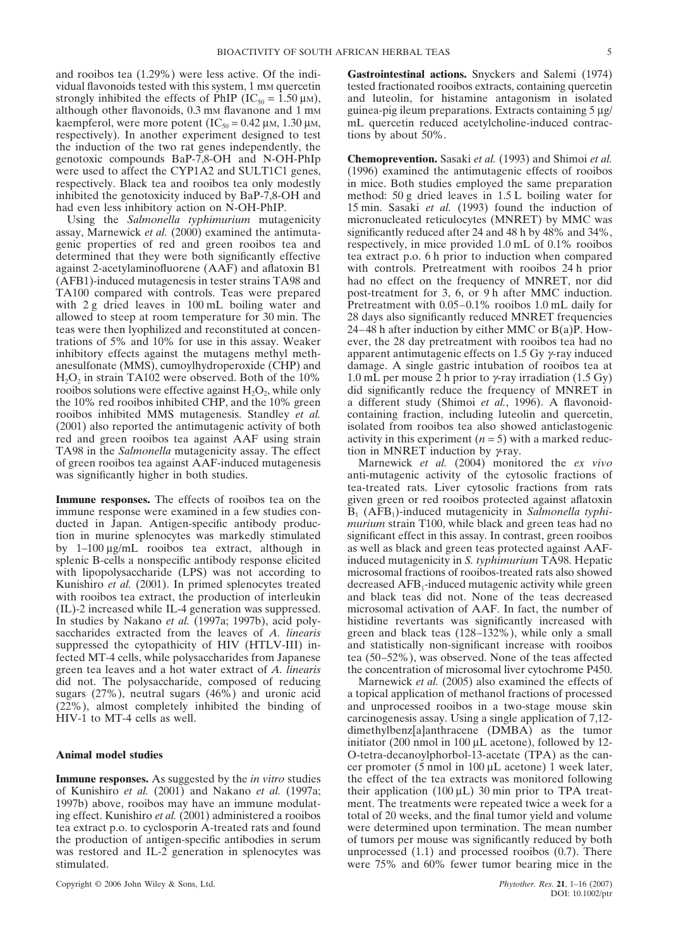and rooibos tea (1.29%) were less active. Of the individual flavonoids tested with this system, 1 mm quercetin strongly inhibited the effects of PhIP ( $IC_{50} = 1.50 \mu M$ ), although other flavonoids,  $0.3 \text{ mm}$  flavanone and  $1 \text{ mm}$ kaempferol, were more potent  $(IC_{50} = 0.42 \mu M, 1.30 \mu M,$ respectively). In another experiment designed to test the induction of the two rat genes independently, the genotoxic compounds BaP-7,8-OH and N-OH-PhIp were used to affect the CYP1A2 and SULT1C1 genes, respectively. Black tea and rooibos tea only modestly inhibited the genotoxicity induced by BaP-7,8-OH and had even less inhibitory action on N-OH-PhIP.

Using the *Salmonella typhimurium* mutagenicity assay, Marnewick *et al.* (2000) examined the antimutagenic properties of red and green rooibos tea and determined that they were both significantly effective against 2-acetylaminofluorene (AAF) and aflatoxin B1 (AFB1)-induced mutagenesis in tester strains TA98 and TA100 compared with controls. Teas were prepared with 2 g dried leaves in 100 mL boiling water and allowed to steep at room temperature for 30 min. The teas were then lyophilized and reconstituted at concentrations of 5% and 10% for use in this assay. Weaker inhibitory effects against the mutagens methyl methanesulfonate (MMS), cumoylhydroperoxide (CHP) and  $H_2O_2$  in strain TA102 were observed. Both of the 10% rooibos solutions were effective against  $H_2O_2$ , while only the 10% red rooibos inhibited CHP, and the 10% green rooibos inhibited MMS mutagenesis. Standley *et al.* (2001) also reported the antimutagenic activity of both red and green rooibos tea against AAF using strain TA98 in the *Salmonella* mutagenicity assay. The effect of green rooibos tea against AAF-induced mutagenesis was significantly higher in both studies.

**Immune responses.** The effects of rooibos tea on the immune response were examined in a few studies conducted in Japan. Antigen-specific antibody production in murine splenocytes was markedly stimulated by 1–100 µg/mL rooibos tea extract, although in splenic B-cells a nonspecific antibody response elicited with lipopolysaccharide (LPS) was not according to Kunishiro *et al.* (2001). In primed splenocytes treated with rooibos tea extract, the production of interleukin (IL)-2 increased while IL-4 generation was suppressed. In studies by Nakano *et al.* (1997a; 1997b), acid polysaccharides extracted from the leaves of *A. linearis* suppressed the cytopathicity of HIV (HTLV-III) infected MT-4 cells, while polysaccharides from Japanese green tea leaves and a hot water extract of *A. linearis* did not. The polysaccharide, composed of reducing sugars (27%), neutral sugars (46%) and uronic acid (22%), almost completely inhibited the binding of HIV-1 to MT-4 cells as well.

## **Animal model studies**

**Immune responses.** As suggested by the *in vitro* studies of Kunishiro *et al.* (2001) and Nakano *et al.* (1997a; 1997b) above, rooibos may have an immune modulating effect. Kunishiro *et al.* (2001) administered a rooibos tea extract p.o. to cyclosporin A-treated rats and found the production of antigen-specific antibodies in serum was restored and IL-2 generation in splenocytes was stimulated.

Copyright © 2006 John Wiley & Sons, Ltd. *Phytother. Res*. **21**, 1–16 (2007)

**Gastrointestinal actions.** Snyckers and Salemi (1974) tested fractionated rooibos extracts, containing quercetin and luteolin, for histamine antagonism in isolated guinea-pig ileum preparations. Extracts containing 5 µg/ mL quercetin reduced acetylcholine-induced contractions by about 50%.

**Chemoprevention.** Sasaki *et al.* (1993) and Shimoi *et al.* (1996) examined the antimutagenic effects of rooibos in mice. Both studies employed the same preparation method: 50 g dried leaves in 1.5 L boiling water for 15 min. Sasaki *et al.* (1993) found the induction of micronucleated reticulocytes (MNRET) by MMC was significantly reduced after 24 and 48 h by 48% and 34%, respectively, in mice provided 1.0 mL of 0.1% rooibos tea extract p.o. 6 h prior to induction when compared with controls. Pretreatment with rooibos 24 h prior had no effect on the frequency of MNRET, nor did post-treatment for 3, 6, or 9 h after MMC induction. Pretreatment with 0.05–0.1% rooibos 1.0 mL daily for 28 days also significantly reduced MNRET frequencies 24–48 h after induction by either MMC or B(a)P. However, the 28 day pretreatment with rooibos tea had no apparent antimutagenic effects on 1.5 Gy γ-ray induced damage. A single gastric intubation of rooibos tea at 1.0 mL per mouse 2 h prior to  $\gamma$ -ray irradiation (1.5 Gy) did significantly reduce the frequency of MNRET in a different study (Shimoi *et al.*, 1996). A flavonoidcontaining fraction, including luteolin and quercetin, isolated from rooibos tea also showed anticlastogenic activity in this experiment  $(n = 5)$  with a marked reduction in MNRET induction by  $\gamma$ -ray.

Marnewick *et al.* (2004) monitored the *ex vivo* anti-mutagenic activity of the cytosolic fractions of tea-treated rats. Liver cytosolic fractions from rats given green or red rooibos protected against aflatoxin B<sub>1</sub> (AFB<sub>1</sub>)-induced mutagenicity in *Salmonella typhimurium* strain T100, while black and green teas had no significant effect in this assay. In contrast, green rooibos as well as black and green teas protected against AAFinduced mutagenicity in *S. typhimurium* TA98. Hepatic microsomal fractions of rooibos-treated rats also showed decreased AFB1-induced mutagenic activity while green and black teas did not. None of the teas decreased microsomal activation of AAF. In fact, the number of histidine revertants was significantly increased with green and black teas (128–132%), while only a small and statistically non-significant increase with rooibos tea (50–52%), was observed. None of the teas affected the concentration of microsomal liver cytochrome P450.

Marnewick *et al.* (2005) also examined the effects of a topical application of methanol fractions of processed and unprocessed rooibos in a two-stage mouse skin carcinogenesis assay. Using a single application of 7,12 dimethylbenz[a]anthracene (DMBA) as the tumor initiator (200 nmol in 100 µL acetone), followed by 12- O-tetra-decanoylphorbol-13-acetate (TPA) as the cancer promoter (5 nmol in 100 µL acetone) 1 week later, the effect of the tea extracts was monitored following their application  $(100 \mu L)$  30 min prior to TPA treatment. The treatments were repeated twice a week for a total of 20 weeks, and the final tumor yield and volume were determined upon termination. The mean number of tumors per mouse was significantly reduced by both unprocessed (1.1) and processed rooibos (0.7). There were 75% and 60% fewer tumor bearing mice in the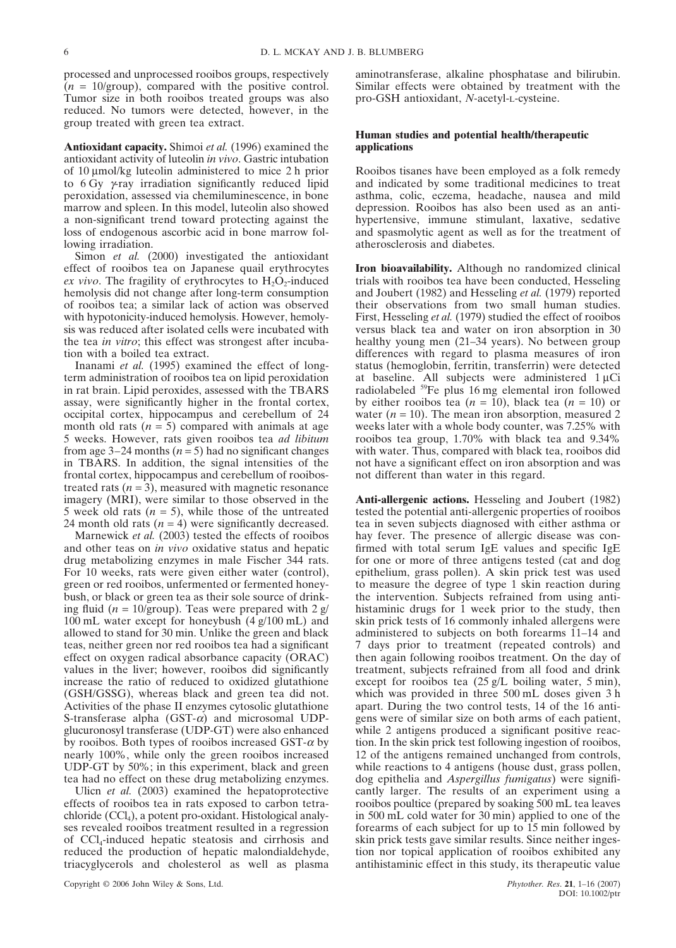processed and unprocessed rooibos groups, respectively  $(n = 10/\text{group})$ , compared with the positive control. Tumor size in both rooibos treated groups was also reduced. No tumors were detected, however, in the group treated with green tea extract.

**Antioxidant capacity.** Shimoi *et al.* (1996) examined the antioxidant activity of luteolin *in vivo*. Gastric intubation of 10 µmol/kg luteolin administered to mice 2 h prior to 6 Gy γ-ray irradiation significantly reduced lipid peroxidation, assessed via chemiluminescence, in bone marrow and spleen. In this model, luteolin also showed a non-significant trend toward protecting against the loss of endogenous ascorbic acid in bone marrow following irradiation.

Simon *et al.* (2000) investigated the antioxidant effect of rooibos tea on Japanese quail erythrocytes *ex vivo*. The fragility of erythrocytes to  $H_2O_2$ -induced hemolysis did not change after long-term consumption of rooibos tea; a similar lack of action was observed with hypotonicity-induced hemolysis. However, hemolysis was reduced after isolated cells were incubated with the tea *in vitro*; this effect was strongest after incubation with a boiled tea extract.

Inanami *et al.* (1995) examined the effect of longterm administration of rooibos tea on lipid peroxidation in rat brain. Lipid peroxides, assessed with the TBARS assay, were significantly higher in the frontal cortex, occipital cortex, hippocampus and cerebellum of 24 month old rats  $(n = 5)$  compared with animals at age 5 weeks. However, rats given rooibos tea *ad libitum* from age  $3-24$  months ( $n = 5$ ) had no significant changes in TBARS. In addition, the signal intensities of the frontal cortex, hippocampus and cerebellum of rooibostreated rats  $(n = 3)$ , measured with magnetic resonance imagery (MRI), were similar to those observed in the 5 week old rats  $(n = 5)$ , while those of the untreated 24 month old rats  $(n = 4)$  were significantly decreased.

Marnewick *et al.* (2003) tested the effects of rooibos and other teas on *in vivo* oxidative status and hepatic drug metabolizing enzymes in male Fischer 344 rats. For 10 weeks, rats were given either water (control), green or red rooibos, unfermented or fermented honeybush, or black or green tea as their sole source of drinking fluid  $(n = 10/\text{group})$ . Teas were prepared with 2 g/ 100 mL water except for honeybush (4 g/100 mL) and allowed to stand for 30 min. Unlike the green and black teas, neither green nor red rooibos tea had a significant effect on oxygen radical absorbance capacity (ORAC) values in the liver; however, rooibos did significantly increase the ratio of reduced to oxidized glutathione (GSH/GSSG), whereas black and green tea did not. Activities of the phase II enzymes cytosolic glutathione S-transferase alpha  $(GST- $\alpha$ )$  and microsomal UDPglucuronosyl transferase (UDP-GT) were also enhanced by rooibos. Both types of rooibos increased  $GST-\alpha$  by nearly 100%, while only the green rooibos increased UDP-GT by 50%; in this experiment, black and green tea had no effect on these drug metabolizing enzymes.

Ulicn *et al.* (2003) examined the hepatoprotective effects of rooibos tea in rats exposed to carbon tetra $chloride$  (CCl<sub>4</sub>), a potent pro-oxidant. Histological analyses revealed rooibos treatment resulted in a regression of CCl4-induced hepatic steatosis and cirrhosis and reduced the production of hepatic malondialdehyde, triacyglycerols and cholesterol as well as plasma

aminotransferase, alkaline phosphatase and bilirubin. Similar effects were obtained by treatment with the pro-GSH antioxidant, *N*-acetyl-L-cysteine.

## **Human studies and potential health/therapeutic applications**

Rooibos tisanes have been employed as a folk remedy and indicated by some traditional medicines to treat asthma, colic, eczema, headache, nausea and mild depression. Rooibos has also been used as an antihypertensive, immune stimulant, laxative, sedative and spasmolytic agent as well as for the treatment of atherosclerosis and diabetes.

**Iron bioavailability.** Although no randomized clinical trials with rooibos tea have been conducted, Hesseling and Joubert (1982) and Hesseling *et al.* (1979) reported their observations from two small human studies. First, Hesseling *et al.* (1979) studied the effect of rooibos versus black tea and water on iron absorption in 30 healthy young men (21–34 years). No between group differences with regard to plasma measures of iron status (hemoglobin, ferritin, transferrin) were detected at baseline. All subjects were administered  $1 \mu$ Ci radiolabeled 59Fe plus 16 mg elemental iron followed by either rooibos tea  $(n = 10)$ , black tea  $(n = 10)$  or water  $(n = 10)$ . The mean iron absorption, measured 2 weeks later with a whole body counter, was 7.25% with rooibos tea group, 1.70% with black tea and 9.34% with water. Thus, compared with black tea, rooibos did not have a significant effect on iron absorption and was not different than water in this regard.

**Anti-allergenic actions.** Hesseling and Joubert (1982) tested the potential anti-allergenic properties of rooibos tea in seven subjects diagnosed with either asthma or hay fever. The presence of allergic disease was confirmed with total serum IgE values and specific IgE for one or more of three antigens tested (cat and dog epithelium, grass pollen). A skin prick test was used to measure the degree of type 1 skin reaction during the intervention. Subjects refrained from using antihistaminic drugs for 1 week prior to the study, then skin prick tests of 16 commonly inhaled allergens were administered to subjects on both forearms 11–14 and 7 days prior to treatment (repeated controls) and then again following rooibos treatment. On the day of treatment, subjects refrained from all food and drink except for rooibos tea (25 g/L boiling water, 5 min), which was provided in three 500 mL doses given 3 h apart. During the two control tests, 14 of the 16 antigens were of similar size on both arms of each patient, while 2 antigens produced a significant positive reaction. In the skin prick test following ingestion of rooibos, 12 of the antigens remained unchanged from controls, while reactions to 4 antigens (house dust, grass pollen, dog epithelia and *Aspergillus fumigatus*) were significantly larger. The results of an experiment using a rooibos poultice (prepared by soaking 500 mL tea leaves in 500 mL cold water for 30 min) applied to one of the forearms of each subject for up to 15 min followed by skin prick tests gave similar results. Since neither ingestion nor topical application of rooibos exhibited any antihistaminic effect in this study, its therapeutic value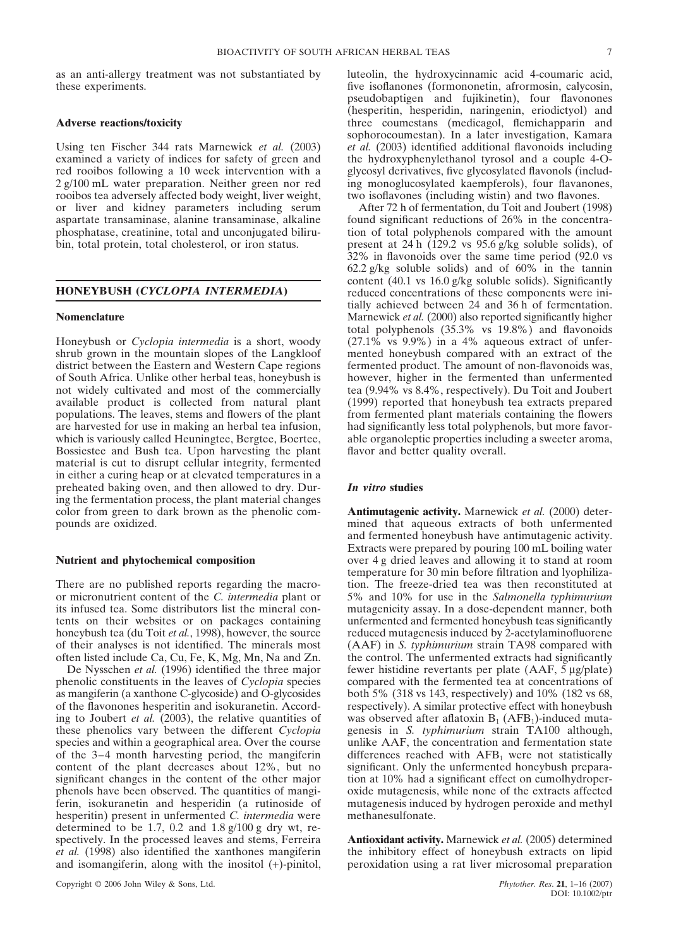as an anti-allergy treatment was not substantiated by these experiments.

## **Adverse reactions/toxicity**

Using ten Fischer 344 rats Marnewick *et al.* (2003) examined a variety of indices for safety of green and red rooibos following a 10 week intervention with a 2 g/100 mL water preparation. Neither green nor red rooibos tea adversely affected body weight, liver weight, or liver and kidney parameters including serum aspartate transaminase, alanine transaminase, alkaline phosphatase, creatinine, total and unconjugated bilirubin, total protein, total cholesterol, or iron status.

## **HONEYBUSH (***CYCLOPIA INTERMEDIA***)**

# **Nomenclature**

Honeybush or *Cyclopia intermedia* is a short, woody shrub grown in the mountain slopes of the Langkloof district between the Eastern and Western Cape regions of South Africa. Unlike other herbal teas, honeybush is not widely cultivated and most of the commercially available product is collected from natural plant populations. The leaves, stems and flowers of the plant are harvested for use in making an herbal tea infusion, which is variously called Heuningtee, Bergtee, Boertee, Bossiestee and Bush tea. Upon harvesting the plant material is cut to disrupt cellular integrity, fermented in either a curing heap or at elevated temperatures in a preheated baking oven, and then allowed to dry. During the fermentation process, the plant material changes color from green to dark brown as the phenolic compounds are oxidized.

#### **Nutrient and phytochemical composition**

There are no published reports regarding the macroor micronutrient content of the *C. intermedia* plant or its infused tea. Some distributors list the mineral contents on their websites or on packages containing honeybush tea (du Toit *et al.*, 1998), however, the source of their analyses is not identified. The minerals most often listed include Ca, Cu, Fe, K, Mg, Mn, Na and Zn.

De Nysschen *et al.* (1996) identified the three major phenolic constituents in the leaves of *Cyclopia* species as mangiferin (a xanthone C-glycoside) and O-glycosides of the flavonones hesperitin and isokuranetin. According to Joubert *et al.* (2003), the relative quantities of these phenolics vary between the different *Cyclopia* species and within a geographical area. Over the course of the 3–4 month harvesting period, the mangiferin content of the plant decreases about 12%, but no significant changes in the content of the other major phenols have been observed. The quantities of mangiferin, isokuranetin and hesperidin (a rutinoside of hesperitin) present in unfermented *C. intermedia* were determined to be 1.7, 0.2 and  $1.8 \text{ g}/100 \text{ g}$  dry wt, respectively. In the processed leaves and stems, Ferreira *et al.* (1998) also identified the xanthones mangiferin and isomangiferin, along with the inositol (+)-pinitol, luteolin, the hydroxycinnamic acid 4-coumaric acid, five isoflanones (formononetin, afrormosin, calycosin, pseudobaptigen and fujikinetin), four flavonones (hesperitin, hesperidin, naringenin, eriodictyol) and three coumestans (medicagol, flemichapparin and sophorocoumestan). In a later investigation, Kamara *et al.* (2003) identified additional flavonoids including the hydroxyphenylethanol tyrosol and a couple 4-Oglycosyl derivatives, five glycosylated flavonols (including monoglucosylated kaempferols), four flavanones, two isoflavones (including wistin) and two flavones.

After 72 h of fermentation, du Toit and Joubert (1998) found significant reductions of 26% in the concentration of total polyphenols compared with the amount present at  $24 \text{ h}$  (129.2 vs  $95.6 \text{ g/kg}$  soluble solids), of 32% in flavonoids over the same time period (92.0 vs  $62.2 \text{ g/kg}$  soluble solids) and of  $60\%$  in the tannin content (40.1 vs 16.0 g/kg soluble solids). Significantly reduced concentrations of these components were initially achieved between 24 and 36 h of fermentation. Marnewick *et al.* (2000) also reported significantly higher total polyphenols (35.3% vs 19.8%) and flavonoids  $(27.1\% \text{ vs } 9.9\%)$  in a 4% aqueous extract of unfermented honeybush compared with an extract of the fermented product. The amount of non-flavonoids was, however, higher in the fermented than unfermented tea (9.94% vs 8.4%, respectively). Du Toit and Joubert (1999) reported that honeybush tea extracts prepared from fermented plant materials containing the flowers had significantly less total polyphenols, but more favorable organoleptic properties including a sweeter aroma, flavor and better quality overall.

# *In vitro* **studies**

**Antimutagenic activity.** Marnewick *et al.* (2000) determined that aqueous extracts of both unfermented and fermented honeybush have antimutagenic activity. Extracts were prepared by pouring 100 mL boiling water over 4 g dried leaves and allowing it to stand at room temperature for 30 min before filtration and lyophilization. The freeze-dried tea was then reconstituted at 5% and 10% for use in the *Salmonella typhimurium* mutagenicity assay. In a dose-dependent manner, both unfermented and fermented honeybush teas significantly reduced mutagenesis induced by 2-acetylaminofluorene (AAF) in *S. typhimurium* strain TA98 compared with the control. The unfermented extracts had significantly fewer histidine revertants per plate (AAF, 5 µg/plate) compared with the fermented tea at concentrations of both 5% (318 vs 143, respectively) and 10% (182 vs 68, respectively). A similar protective effect with honeybush was observed after aflatoxin  $B_1$  (AFB<sub>1</sub>)-induced mutagenesis in *S. typhimurium* strain TA100 although, unlike AAF, the concentration and fermentation state differences reached with  $AFB<sub>1</sub>$  were not statistically significant. Only the unfermented honeybush preparation at 10% had a significant effect on cumolhydroperoxide mutagenesis, while none of the extracts affected mutagenesis induced by hydrogen peroxide and methyl methanesulfonate.

**Antioxidant activity.** Marnewick *et al.* (2005) determined the inhibitory effect of honeybush extracts on lipid peroxidation using a rat liver microsomal preparation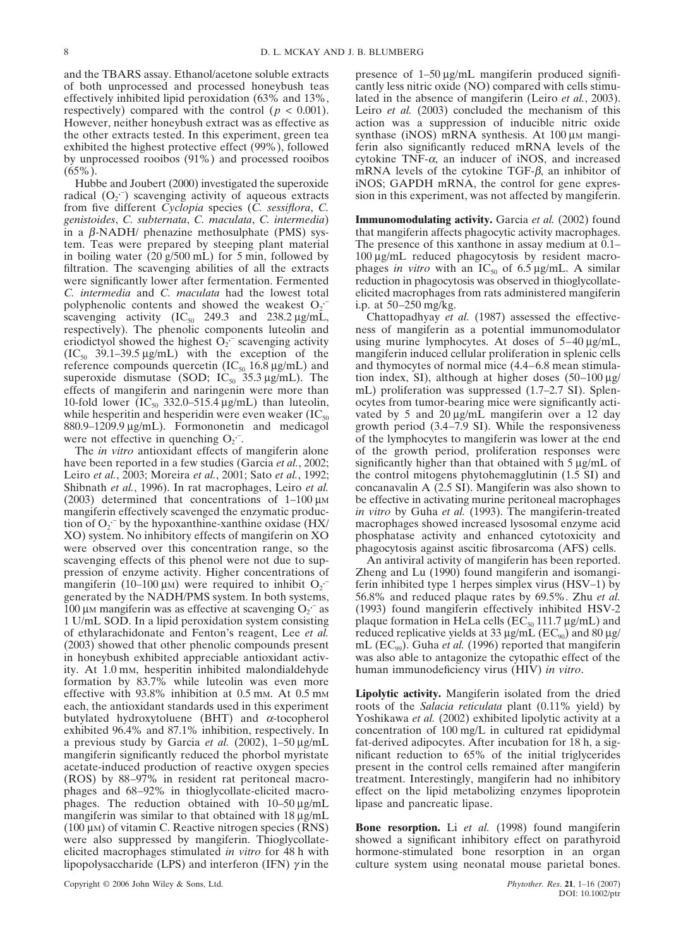and the TBARS assay. Ethanol/acetone soluble extracts of both unprocessed and processed honeybush teas effectively inhibited lipid peroxidation (63% and 13%, respectively) compared with the control ( $p < 0.001$ ). However, neither honeybush extract was as effective as the other extracts tested. In this experiment, green tea exhibited the highest protective effect (99%), followed by unprocessed rooibos (91%) and processed rooibos  $(65\%)$ .

Hubbe and Joubert (2000) investigated the superoxide radical  $(O_2^-)$  scavenging activity of aqueous extracts from five different *Cyclopia* species (*C. sessiflora*, *C. genistoides*, *C. subternata*, *C. maculata*, *C. intermedia*) in a β-NADH/ phenazine methosulphate (PMS) system. Teas were prepared by steeping plant material in boiling water (20 g/500 mL) for 5 min, followed by filtration. The scavenging abilities of all the extracts were significantly lower after fermentation. Fermented *C. intermedia* and *C. maculata* had the lowest total polyphenolic contents and showed the weakest  $O_2$ . scavenging activity  $(IC_{50}$  249.3 and 238.2  $\mu$ g/mL, respectively). The phenolic components luteolin and eriodictyol showed the highest  $O_2$ <sup>-</sup> scavenging activity  $(IC_{50}$  39.1–39.5  $\mu$ g/mL) with the exception of the reference compounds quercetin  $(IC_{50} 16.8 \,\mu g/mL)$  and superoxide dismutase (SOD;  $IC_{50}$  35.3  $\mu$ g/mL). The effects of mangiferin and naringenin were more than 10-fold lower (IC<sub>50</sub> 332.0–515.4  $\mu$ g/mL) than luteolin, while hesperitin and hesperidin were even weaker  $(IC_{50})$ 880.9–1209.9 µg/mL). Formononetin and medicagol were not effective in quenching  $O_2$ .

The *in vitro* antioxidant effects of mangiferin alone have been reported in a few studies (Garcia *et al.*, 2002; Leiro *et al.*, 2003; Moreira *et al.*, 2001; Sato *et al.*, 1992; Shibnath *et al.*, 1996). In rat macrophages, Leiro *et al.* (2003) determined that concentrations of  $1-100 \mu M$ mangiferin effectively scavenged the enzymatic production of  $O_2$ <sup>-</sup> by the hypoxanthine-xanthine oxidase (HX/ XO) system. No inhibitory effects of mangiferin on XO were observed over this concentration range, so the scavenging effects of this phenol were not due to suppression of enzyme activity. Higher concentrations of mangiferin (10–100  $\mu$ M) were required to inhibit O<sub>2</sub><sup>--</sup> generated by the NADH/PMS system. In both systems, 100  $\mu$ M mangiferin was as effective at scavenging O<sub>2</sub><sup>-</sup> as 1 U/mL SOD. In a lipid peroxidation system consisting of ethylarachidonate and Fenton's reagent, Lee *et al.* (2003) showed that other phenolic compounds present in honeybush exhibited appreciable antioxidant activity. At 1.0 mM, hesperitin inhibited malondialdehyde formation by 83.7% while luteolin was even more effective with 93.8% inhibition at 0.5 mm. At 0.5 mm each, the antioxidant standards used in this experiment butylated hydroxytoluene (BHT) and  $\alpha$ -tocopherol exhibited 96.4% and 87.1% inhibition, respectively. In a previous study by Garcia *et al.* (2002), 1–50 µg/mL mangiferin significantly reduced the phorbol myristate acetate-induced production of reactive oxygen species (ROS) by 88–97% in resident rat peritoneal macrophages and 68–92% in thioglycollate-elicited macrophages. The reduction obtained with 10–50 µg/mL mangiferin was similar to that obtained with  $18 \mu g/mL$ ( $100 \mu$ M) of vitamin C. Reactive nitrogen species (RNS) were also suppressed by mangiferin. Thioglycollateelicited macrophages stimulated *in vitro* for 48 h with lipopolysaccharide (LPS) and interferon (IFN)  $\gamma$  in the

presence of 1–50  $\mu$ g/mL mangiferin produced significantly less nitric oxide (NO) compared with cells stimulated in the absence of mangiferin (Leiro *et al.*, 2003). Leiro *et al.* (2003) concluded the mechanism of this action was a suppression of inducible nitric oxide synthase ( $iNOS$ ) mRNA synthesis. At  $100 \mu M$  mangiferin also significantly reduced mRNA levels of the cytokine TNF- $\alpha$ , an inducer of iNOS, and increased mRNA levels of the cytokine TGF-β, an inhibitor of iNOS; GAPDH mRNA, the control for gene expression in this experiment, was not affected by mangiferin.

**Immunomodulating activity.** Garcia *et al.* (2002) found that mangiferin affects phagocytic activity macrophages. The presence of this xanthone in assay medium at 0.1– 100 µg/mL reduced phagocytosis by resident macrophages *in vitro* with an  $IC_{50}$  of 6.5  $\mu$ g/mL. A similar reduction in phagocytosis was observed in thioglycollateelicited macrophages from rats administered mangiferin i.p. at 50–250 mg/kg.

Chattopadhyay *et al.* (1987) assessed the effectiveness of mangiferin as a potential immunomodulator using murine lymphocytes. At doses of 5–40 µg/mL, mangiferin induced cellular proliferation in splenic cells and thymocytes of normal mice (4.4–6.8 mean stimulation index, SI), although at higher doses  $(50-100 \,\mu g)$ mL) proliferation was suppressed (1.7–2.7 SI). Splenocytes from tumor-bearing mice were significantly activated by 5 and 20 µg/mL mangiferin over a 12 day growth period (3.4–7.9 SI). While the responsiveness of the lymphocytes to mangiferin was lower at the end of the growth period, proliferation responses were significantly higher than that obtained with 5  $\mu$ g/mL of the control mitogens phytohemagglutinin (1.5 SI) and concanavalin A (2.5 SI). Mangiferin was also shown to be effective in activating murine peritoneal macrophages *in vitro* by Guha *et al.* (1993). The mangiferin-treated macrophages showed increased lysosomal enzyme acid phosphatase activity and enhanced cytotoxicity and phagocytosis against ascitic fibrosarcoma (AFS) cells.

An antiviral activity of mangiferin has been reported. Zheng and Lu (1990) found mangiferin and isomangiferin inhibited type 1 herpes simplex virus (HSV–1) by 56.8% and reduced plaque rates by 69.5%. Zhu *et al.* (1993) found mangiferin effectively inhibited HSV-2 plaque formation in HeLa cells ( $EC_{50}$  111.7  $\mu$ g/mL) and reduced replicative yields at 33  $\mu$ g/mL (EC<sub>90</sub>) and 80  $\mu$ g/ mL (EC<sub>99</sub>). Guha *et al.* (1996) reported that mangiferin was also able to antagonize the cytopathic effect of the human immunodeficiency virus (HIV) *in vitro*.

**Lipolytic activity.** Mangiferin isolated from the dried roots of the *Salacia reticulata* plant (0.11% yield) by Yoshikawa *et al.* (2002) exhibited lipolytic activity at a concentration of 100 mg/L in cultured rat epididymal fat-derived adipocytes. After incubation for 18 h, a significant reduction to 65% of the initial triglycerides present in the control cells remained after mangiferin treatment. Interestingly, mangiferin had no inhibitory effect on the lipid metabolizing enzymes lipoprotein lipase and pancreatic lipase.

**Bone resorption.** Li *et al.* (1998) found mangiferin showed a significant inhibitory effect on parathyroid hormone-stimulated bone resorption in an organ culture system using neonatal mouse parietal bones.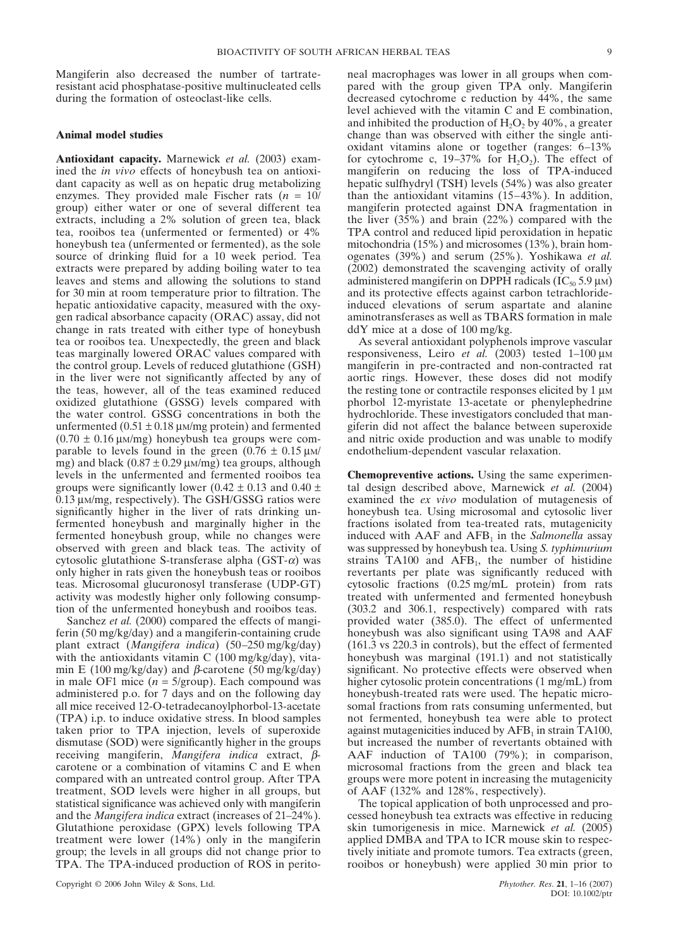Mangiferin also decreased the number of tartrateresistant acid phosphatase-positive multinucleated cells during the formation of osteoclast-like cells.

## **Animal model studies**

**Antioxidant capacity.** Marnewick *et al.* (2003) examined the *in vivo* effects of honeybush tea on antioxidant capacity as well as on hepatic drug metabolizing enzymes. They provided male Fischer rats  $(n = 10)$ group) either water or one of several different tea extracts, including a 2% solution of green tea, black tea, rooibos tea (unfermented or fermented) or 4% honeybush tea (unfermented or fermented), as the sole source of drinking fluid for a 10 week period. Tea extracts were prepared by adding boiling water to tea leaves and stems and allowing the solutions to stand for 30 min at room temperature prior to filtration. The hepatic antioxidative capacity, measured with the oxygen radical absorbance capacity (ORAC) assay, did not change in rats treated with either type of honeybush tea or rooibos tea. Unexpectedly, the green and black teas marginally lowered ORAC values compared with the control group. Levels of reduced glutathione (GSH) in the liver were not significantly affected by any of the teas, however, all of the teas examined reduced oxidized glutathione (GSSG) levels compared with the water control. GSSG concentrations in both the unfermented  $(0.51 \pm 0.18 \,\mu\text{m/mg}$  protein) and fermented  $(0.70 \pm 0.16 \,\mu\text{m/mg})$  honeybush tea groups were comparable to levels found in the green  $(0.76 \pm 0.15 \,\mu\text{m/s})$ mg) and black  $(0.87 \pm 0.29 \,\mu\text{m/mg})$  tea groups, although levels in the unfermented and fermented rooibos tea groups were significantly lower (0.42  $\pm$  0.13 and 0.40  $\pm$ 0.13 µM/mg, respectively). The GSH/GSSG ratios were significantly higher in the liver of rats drinking unfermented honeybush and marginally higher in the fermented honeybush group, while no changes were observed with green and black teas. The activity of cytosolic glutathione S-transferase alpha  $(GST-\alpha)$  was only higher in rats given the honeybush teas or rooibos teas. Microsomal glucuronosyl transferase (UDP-GT) activity was modestly higher only following consumption of the unfermented honeybush and rooibos teas.

Sanchez *et al.* (2000) compared the effects of mangiferin (50 mg/kg/day) and a mangiferin-containing crude plant extract (*Mangifera indica*) (50–250 mg/kg/day) with the antioxidants vitamin  $C(100 \text{ mg/kg/day})$ , vitamin E (100 mg/kg/day) and β-carotene (50 mg/kg/day) in male OF1 mice  $(n = 5/\text{group})$ . Each compound was administered p.o. for 7 days and on the following day all mice received 12-O-tetradecanoylphorbol-13-acetate (TPA) i.p. to induce oxidative stress. In blood samples taken prior to TPA injection, levels of superoxide dismutase (SOD) were significantly higher in the groups receiving mangiferin, *Mangifera indica* extract, βcarotene or a combination of vitamins C and E when compared with an untreated control group. After TPA treatment, SOD levels were higher in all groups, but statistical significance was achieved only with mangiferin and the *Mangifera indica* extract (increases of 21–24%). Glutathione peroxidase (GPX) levels following TPA treatment were lower (14%) only in the mangiferin group; the levels in all groups did not change prior to TPA. The TPA-induced production of ROS in peritoneal macrophages was lower in all groups when compared with the group given TPA only. Mangiferin decreased cytochrome c reduction by 44%, the same level achieved with the vitamin C and E combination, and inhibited the production of  $H_2O_2$  by 40%, a greater change than was observed with either the single antioxidant vitamins alone or together (ranges: 6–13% for cytochrome c,  $19-37\%$  for  $H_2O_2$ ). The effect of mangiferin on reducing the loss of TPA-induced hepatic sulfhydryl (TSH) levels (54%) was also greater than the antioxidant vitamins (15–43%). In addition, mangiferin protected against DNA fragmentation in the liver (35%) and brain (22%) compared with the TPA control and reduced lipid peroxidation in hepatic mitochondria (15%) and microsomes (13%), brain homogenates (39%) and serum (25%). Yoshikawa *et al.* (2002) demonstrated the scavenging activity of orally administered mangiferin on DPPH radicals ( $IC_{50}$  5.9  $\mu$ M) and its protective effects against carbon tetrachlorideinduced elevations of serum aspartate and alanine

ddY mice at a dose of 100 mg/kg. As several antioxidant polyphenols improve vascular responsiveness, Leiro *et al.* (2003) tested 1-100 μm mangiferin in pre-contracted and non-contracted rat aortic rings. However, these doses did not modify the resting tone or contractile responses elicited by  $1 \mu$ M phorbol 12-myristate 13-acetate or phenylephedrine hydrochloride. These investigators concluded that mangiferin did not affect the balance between superoxide and nitric oxide production and was unable to modify endothelium-dependent vascular relaxation.

aminotransferases as well as TBARS formation in male

**Chemopreventive actions.** Using the same experimental design described above, Marnewick *et al.* (2004) examined the *ex vivo* modulation of mutagenesis of honeybush tea. Using microsomal and cytosolic liver fractions isolated from tea-treated rats, mutagenicity induced with  $AAF$  and  $AFB<sub>1</sub>$  in the *Salmonella* assay was suppressed by honeybush tea. Using *S. typhimurium* strains  $TA100$  and  $AFB<sub>1</sub>$ , the number of histidine revertants per plate was significantly reduced with cytosolic fractions (0.25 mg/mL protein) from rats treated with unfermented and fermented honeybush (303.2 and 306.1, respectively) compared with rats provided water (385.0). The effect of unfermented honeybush was also significant using TA98 and AAF (161.3 vs 220.3 in controls), but the effect of fermented honeybush was marginal (191.1) and not statistically significant. No protective effects were observed when higher cytosolic protein concentrations (1 mg/mL) from honeybush-treated rats were used. The hepatic microsomal fractions from rats consuming unfermented, but not fermented, honeybush tea were able to protect against mutagenicities induced by  $AFB<sub>1</sub>$  in strain TA100, but increased the number of revertants obtained with AAF induction of TA100 (79%); in comparison, microsomal fractions from the green and black tea groups were more potent in increasing the mutagenicity of AAF (132% and 128%, respectively).

The topical application of both unprocessed and processed honeybush tea extracts was effective in reducing skin tumorigenesis in mice. Marnewick *et al.* (2005) applied DMBA and TPA to ICR mouse skin to respectively initiate and promote tumors. Tea extracts (green, rooibos or honeybush) were applied 30 min prior to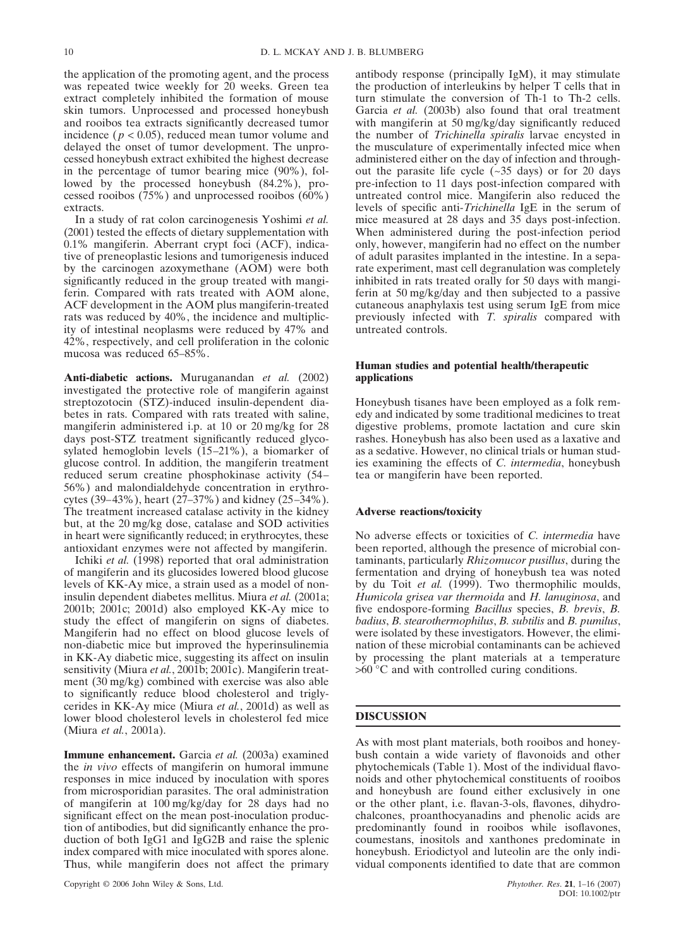the application of the promoting agent, and the process was repeated twice weekly for 20 weeks. Green tea extract completely inhibited the formation of mouse skin tumors. Unprocessed and processed honeybush and rooibos tea extracts significantly decreased tumor incidence ( $p < 0.05$ ), reduced mean tumor volume and delayed the onset of tumor development. The unprocessed honeybush extract exhibited the highest decrease in the percentage of tumor bearing mice (90%), followed by the processed honeybush (84.2%), processed rooibos  $(75%)$  and unprocessed rooibos  $(60%)$ extracts.

In a study of rat colon carcinogenesis Yoshimi *et al.* (2001) tested the effects of dietary supplementation with 0.1% mangiferin. Aberrant crypt foci (ACF), indicative of preneoplastic lesions and tumorigenesis induced by the carcinogen azoxymethane (AOM) were both significantly reduced in the group treated with mangiferin. Compared with rats treated with AOM alone, ACF development in the AOM plus mangiferin-treated rats was reduced by 40%, the incidence and multiplicity of intestinal neoplasms were reduced by 47% and 42%, respectively, and cell proliferation in the colonic mucosa was reduced 65–85%.

**Anti-diabetic actions.** Muruganandan *et al.* (2002) investigated the protective role of mangiferin against streptozotocin (STZ)-induced insulin-dependent diabetes in rats. Compared with rats treated with saline, mangiferin administered i.p. at 10 or 20 mg/kg for 28 days post-STZ treatment significantly reduced glycosylated hemoglobin levels (15–21%), a biomarker of glucose control. In addition, the mangiferin treatment reduced serum creatine phosphokinase activity (54– 56%) and malondialdehyde concentration in erythrocytes (39–43%), heart (27–37%) and kidney (25–34%). The treatment increased catalase activity in the kidney but, at the 20 mg/kg dose, catalase and SOD activities in heart were significantly reduced; in erythrocytes, these antioxidant enzymes were not affected by mangiferin.

Ichiki *et al.* (1998) reported that oral administration of mangiferin and its glucosides lowered blood glucose levels of KK-Ay mice, a strain used as a model of noninsulin dependent diabetes mellitus. Miura *et al.* (2001a; 2001b; 2001c; 2001d) also employed KK-Ay mice to study the effect of mangiferin on signs of diabetes. Mangiferin had no effect on blood glucose levels of non-diabetic mice but improved the hyperinsulinemia in KK-Ay diabetic mice, suggesting its affect on insulin sensitivity (Miura *et al.*, 2001b; 2001c). Mangiferin treatment (30 mg/kg) combined with exercise was also able to significantly reduce blood cholesterol and triglycerides in KK-Ay mice (Miura *et al.*, 2001d) as well as lower blood cholesterol levels in cholesterol fed mice (Miura *et al.*, 2001a).

**Immune enhancement.** Garcia *et al.* (2003a) examined the *in vivo* effects of mangiferin on humoral immune responses in mice induced by inoculation with spores from microsporidian parasites. The oral administration of mangiferin at 100 mg/kg/day for 28 days had no significant effect on the mean post-inoculation production of antibodies, but did significantly enhance the production of both IgG1 and IgG2B and raise the splenic index compared with mice inoculated with spores alone. Thus, while mangiferin does not affect the primary

antibody response (principally IgM), it may stimulate the production of interleukins by helper T cells that in turn stimulate the conversion of Th-1 to Th-2 cells. Garcia *et al.* (2003b) also found that oral treatment with mangiferin at 50 mg/kg/day significantly reduced the number of *Trichinella spiralis* larvae encysted in the musculature of experimentally infected mice when administered either on the day of infection and throughout the parasite life cycle  $(-35 \text{ days})$  or for 20 days pre-infection to 11 days post-infection compared with untreated control mice. Mangiferin also reduced the levels of specific anti-*Trichinella* IgE in the serum of mice measured at 28 days and 35 days post-infection. When administered during the post-infection period only, however, mangiferin had no effect on the number of adult parasites implanted in the intestine. In a separate experiment, mast cell degranulation was completely inhibited in rats treated orally for 50 days with mangiferin at 50 mg/kg/day and then subjected to a passive cutaneous anaphylaxis test using serum IgE from mice previously infected with *T. spiralis* compared with untreated controls.

## **Human studies and potential health/therapeutic applications**

Honeybush tisanes have been employed as a folk remedy and indicated by some traditional medicines to treat digestive problems, promote lactation and cure skin rashes. Honeybush has also been used as a laxative and as a sedative. However, no clinical trials or human studies examining the effects of *C. intermedia*, honeybush tea or mangiferin have been reported.

## **Adverse reactions/toxicity**

No adverse effects or toxicities of *C. intermedia* have been reported, although the presence of microbial contaminants, particularly *Rhizomucor pusillus*, during the fermentation and drying of honeybush tea was noted by du Toit *et al.* (1999). Two thermophilic moulds, *Humicola grisea var thermoida* and *H. lanuginosa*, and five endospore-forming *Bacillus* species, *B. brevis*, *B. badius*, *B. stearothermophilus*, *B. subtilis* and *B. pumilus*, were isolated by these investigators. However, the elimination of these microbial contaminants can be achieved by processing the plant materials at a temperature >60 °C and with controlled curing conditions.

## **DISCUSSION**

As with most plant materials, both rooibos and honeybush contain a wide variety of flavonoids and other phytochemicals (Table 1). Most of the individual flavonoids and other phytochemical constituents of rooibos and honeybush are found either exclusively in one or the other plant, i.e. flavan-3-ols, flavones, dihydrochalcones, proanthocyanadins and phenolic acids are predominantly found in rooibos while isoflavones, coumestans, inositols and xanthones predominate in honeybush. Eriodictyol and luteolin are the only individual components identified to date that are common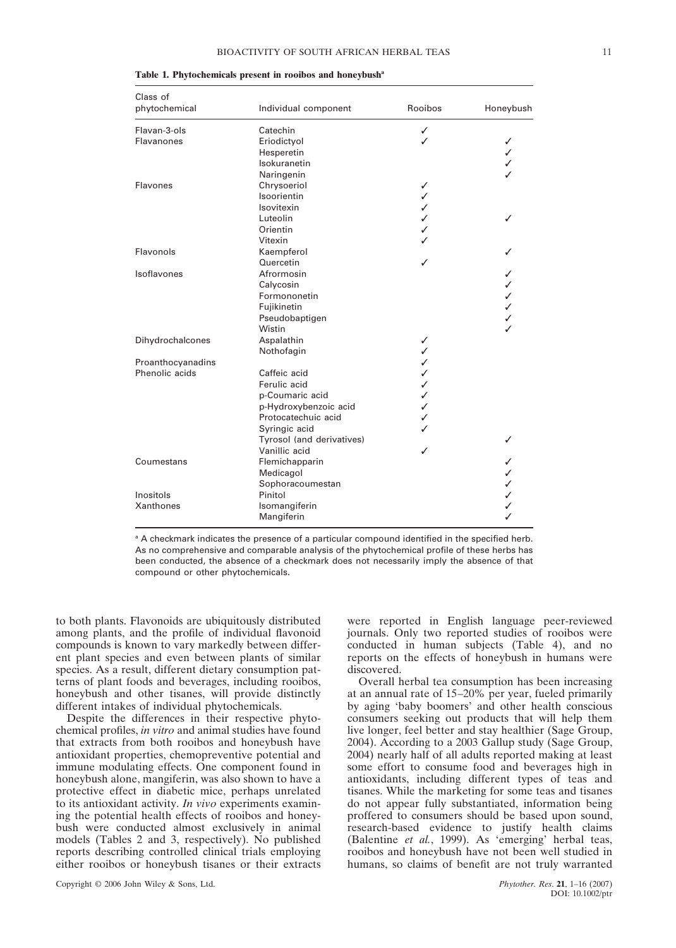| Class of          |                           |         |           |
|-------------------|---------------------------|---------|-----------|
| phytochemical     | Individual component      | Rooibos | Honeybush |
| Flavan-3-ols      | Catechin                  | ✓       |           |
| <b>Flavanones</b> | Eriodictyol               | ✓       | ✓         |
|                   | Hesperetin                |         | ✓         |
|                   | Isokuranetin              |         | ✓         |
|                   | Naringenin                |         |           |
| Flavones          | Chrysoeriol               | ✓       |           |
|                   | Isoorientin               | ✓       |           |
|                   | Isovitexin                | ✓       |           |
|                   | Luteolin                  | ✓       | ✓         |
|                   | Orientin                  | ✓       |           |
|                   | Vitexin                   |         |           |
| Flavonols         | Kaempferol                |         |           |
|                   | Quercetin                 | ✓       |           |
| Isoflavones       | Afrormosin                |         | ✓         |
|                   | Calycosin                 |         | ✓         |
|                   | Formononetin              |         | ✓         |
|                   | Fujikinetin               |         | ✓         |
|                   | Pseudobaptigen            |         | ✓         |
|                   | Wistin                    |         | J         |
| Dihydrochalcones  | Aspalathin                | ✓       |           |
|                   | Nothofagin                | ✓       |           |
| Proanthocyanadins |                           | ✓       |           |
| Phenolic acids    | Caffeic acid              | ✓       |           |
|                   | Ferulic acid              | ✓       |           |
|                   | p-Coumaric acid           | ✓       |           |
|                   | p-Hydroxybenzoic acid     | ✓       |           |
|                   | Protocatechuic acid       | ✓       |           |
|                   | Syringic acid             |         |           |
|                   | Tyrosol (and derivatives) |         | ✓         |
|                   | Vanillic acid             | ✓       |           |
| Coumestans        | Flemichapparin            |         | ✓         |
|                   | Medicagol                 |         | ✓         |
|                   | Sophoracoumestan          |         | ✓         |
| Inositols         | Pinitol                   |         | ✓         |
| Xanthones         | Isomangiferin             |         | ✓         |
|                   | Mangiferin                |         | ✓         |

|  | Table 1. Phytochemicals present in rooibos and honeybush <sup>a</sup> |  |  |  |
|--|-----------------------------------------------------------------------|--|--|--|
|  |                                                                       |  |  |  |

<sup>a</sup> A checkmark indicates the presence of a particular compound identified in the specified herb. As no comprehensive and comparable analysis of the phytochemical profile of these herbs has been conducted, the absence of a checkmark does not necessarily imply the absence of that compound or other phytochemicals.

to both plants. Flavonoids are ubiquitously distributed among plants, and the profile of individual flavonoid compounds is known to vary markedly between different plant species and even between plants of similar species. As a result, different dietary consumption patterns of plant foods and beverages, including rooibos, honeybush and other tisanes, will provide distinctly different intakes of individual phytochemicals.

Despite the differences in their respective phytochemical profiles, *in vitro* and animal studies have found that extracts from both rooibos and honeybush have antioxidant properties, chemopreventive potential and immune modulating effects. One component found in honeybush alone, mangiferin, was also shown to have a protective effect in diabetic mice, perhaps unrelated to its antioxidant activity. *In vivo* experiments examining the potential health effects of rooibos and honeybush were conducted almost exclusively in animal models (Tables 2 and 3, respectively). No published reports describing controlled clinical trials employing either rooibos or honeybush tisanes or their extracts

Copyright © 2006 John Wiley & Sons, Ltd. *Phytother. Res*. **21**, 1–16 (2007)

were reported in English language peer-reviewed journals. Only two reported studies of rooibos were conducted in human subjects (Table 4), and no reports on the effects of honeybush in humans were discovered.

Overall herbal tea consumption has been increasing at an annual rate of 15–20% per year, fueled primarily by aging 'baby boomers' and other health conscious consumers seeking out products that will help them live longer, feel better and stay healthier (Sage Group, 2004). According to a 2003 Gallup study (Sage Group, 2004) nearly half of all adults reported making at least some effort to consume food and beverages high in antioxidants, including different types of teas and tisanes. While the marketing for some teas and tisanes do not appear fully substantiated, information being proffered to consumers should be based upon sound, research-based evidence to justify health claims (Balentine *et al.*, 1999). As 'emerging' herbal teas, rooibos and honeybush have not been well studied in humans, so claims of benefit are not truly warranted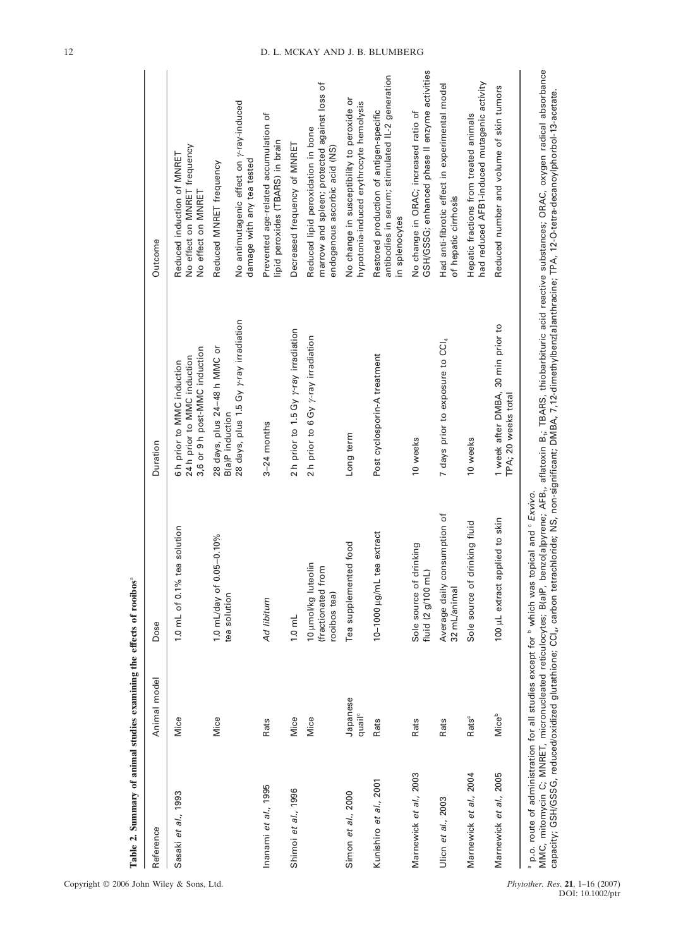| Reference              | Animal model                   | Dose                                                                                        | Duration                                                                                                                                                                                          | Outcome                                                                                                                                                                           |
|------------------------|--------------------------------|---------------------------------------------------------------------------------------------|---------------------------------------------------------------------------------------------------------------------------------------------------------------------------------------------------|-----------------------------------------------------------------------------------------------------------------------------------------------------------------------------------|
| Sasaki et al., 1993    | Mice                           | solution<br>1.0 mL of 0.1% tea                                                              | 3,6 or 9 h post-MMC induction<br>24 h prior to MMC induction<br>6 h prior to MMC induction                                                                                                        | No effect on MNRET frequency<br>Reduced induction of MNRET<br>No effect on MNRET                                                                                                  |
|                        | Mice                           | 1.0 mL/day of 0.05-0.10%<br>tea solution                                                    | 28 days, plus 1.5 Gy y-ray irradiation<br>28 days, plus 24-48 h MMC or<br>B(a)P induction                                                                                                         | No antimutagenic effect on y-ray-induced<br>Reduced MNRET frequency                                                                                                               |
| Inanami et al., 1995   | Rats                           | Ad libitum                                                                                  | $3-24$ months                                                                                                                                                                                     | Prevented age-related accumulation of<br>lipid peroxides (TBARS) in brain<br>damage with any tea tested                                                                           |
| Shimoi et al., 1996    | Mice                           | $1.0$ mL                                                                                    | 2 h prior to 1.5 Gy y-ray irradiation                                                                                                                                                             | Decreased frequency of MNRET                                                                                                                                                      |
|                        | Mice                           | 10 µmol/kg luteolin<br>(fractionated from<br>rooibos tea)                                   | 2 h prior to 6 Gy y-ray irradiation                                                                                                                                                               | marrow and spleen; protected against loss of<br>Reduced lipid peroxidation in bone<br>endogenous ascorbic acid (NS)                                                               |
| Simon et al., 2000     | Japanese<br>quail <sup>c</sup> | food<br>Tea supplemented                                                                    | Long term                                                                                                                                                                                         | No change in susceptibility to peroxide or<br>hypotonia-induced erythrocyte hemolysis                                                                                             |
| Kunishiro et al., 2001 | Rats                           | extract<br>$10-1000$ $\mu$ g/mL tea                                                         | Post cyclosporin-A treatment                                                                                                                                                                      | antibodies in serum; stimulated IL-2 generation<br>Restored production of antigen-specific<br>in splenocytes                                                                      |
| Marnewick et al., 2003 | Rats                           | Sole source of drinking<br>fluid (2 g/100 mL)                                               | 10 weeks                                                                                                                                                                                          | GSH/GSSG; enhanced phase II enzyme activities<br>No change in ORAC; increased ratio of                                                                                            |
| Ulicn et al., 2003     | Rats                           | Average daily consumption of<br>32 mL/animal                                                | 7 days prior to exposure to CCI4                                                                                                                                                                  | Had anti-fibrotic effect in experimental model<br>of hepatic cirrhosis                                                                                                            |
| Marnewick et al., 2004 | Rats <sup>c</sup>              | Sole source of drinking fluid                                                               | 10 weeks                                                                                                                                                                                          | had reduced AFB1-induced mutagenic activity<br>Hepatic fractions from treated animals                                                                                             |
| Marnewick et al., 2005 | <b>Mice</b> <sup>b</sup>       | 100 µL extract applied to skin                                                              | 1 week after DMBA, 30 min prior to<br>TPA; 20 weeks total                                                                                                                                         | Reduced number and volume of skin tumors                                                                                                                                          |
|                        |                                | a p.o. route of administration for all studies except for b which was topical and 6 Exvivo. | capacity; GSH/GSSG, reduced/oxidized glutathione; CCl <sub>4</sub> , carbon tetrachloride; NS, non-significant; DMBA, 7,12-dimethylbenz[a]anthracine; TPA, 12-O-tetra-decanoylphorbol-13-acetate. | MMC, mitomycin C; MNRET, micronucleated reticulocytes; B(a)P, benzo[a]pyrene; AFB,, aflatoxin B.; TBARS, thiobarbituric acid reactive substances; ORAC, oxygen radical absorbance |

Copyright © 2006 John Wiley & Sons, Ltd.

# 12 D. L. MCKAY AND J. B. BLUMBERG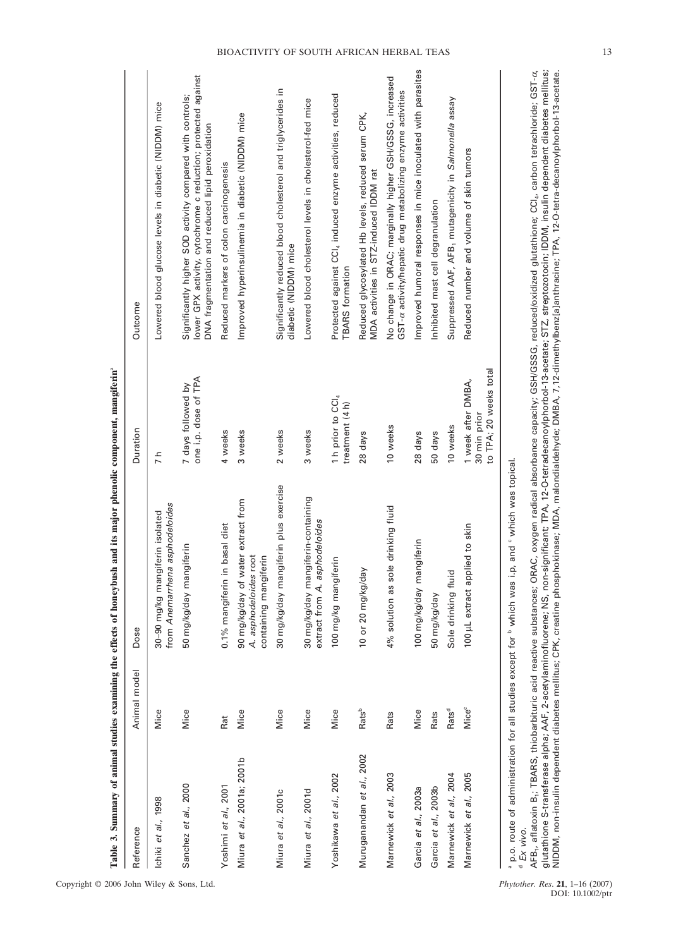| Reference                   | Animal model             | Dose                                                                                 | Duration                                                     | Outcome                                                                                                                                                                        |
|-----------------------------|--------------------------|--------------------------------------------------------------------------------------|--------------------------------------------------------------|--------------------------------------------------------------------------------------------------------------------------------------------------------------------------------|
| Ichiki et al., 1998         | Mice                     | from Anemarrhena asphodeloides<br>30-90 mg/kg mangiferin isolated                    | 7 h                                                          | Lowered blood glucose levels in diabetic (NIDDM) mice                                                                                                                          |
| Sanchez et al., 2000        | Mice                     | 50 mg/kg/day mangiferin                                                              | one i.p. dose of TPA<br>7 days followed by                   | lower GPX activity, cytochrome c reduction; protected against<br>Significantly higher SOD activity compared with controls;<br>DNA fragmentation and reduced lipid peroxidation |
| Yoshimi et al., 2001        | Rat                      | 0.1% mangiferin in basal diet                                                        | 4 weeks                                                      | Reduced markers of colon carcinogenesis                                                                                                                                        |
| Miura et al., 2001a; 2001b  | Mice                     | 90 mg/kg/day of water extract from<br>A. asphodeloides root<br>containing mangiferin | 3 weeks                                                      | Improved hyperinsulinemia in diabetic (NIDDM) mice                                                                                                                             |
| Miura et al., 2001c         | Mice                     | 30 mg/kg/day mangiferin plus exercise                                                | 2 weeks                                                      | Significantly reduced blood cholesterol and triglycerides in<br>diabetic (NIDDM) mice                                                                                          |
| Miura <i>et al.</i> , 2001d | Mice                     | 30 mg/kg/day mangiferin-containing<br>extract from A. asphodeloides                  | 3 weeks                                                      | Lowered blood cholesterol levels in cholesterol-fed mice                                                                                                                       |
| Yoshikawa et al., 2002      | Mice                     | 100 mg/kg mangiferin                                                                 | 1 h prior to CCI4<br>treatment (4h)                          | Protected against CCI4 induced enzyme activities, reduced<br><b>TBARS</b> formation                                                                                            |
| Muruganandan et al., 2002   | Rats <sup>b</sup>        | 10 or 20 mg/kg/day                                                                   | 28 days                                                      | Reduced glycosylated Hb levels, reduced serum CPK,<br>MDA activities in STZ-induced IDDM rat                                                                                   |
| Marnewick et al., 2003      | Rats                     | drinking fluid<br>4% solution as sole                                                | 10 weeks                                                     | No change in ORAC; marginally higher GSH/GSSG, increased<br>GST-a activity/hepatic drug metabolizing enzyme activities                                                         |
| Garcia et al., 2003a        | Mice                     | 100 mg/kg/day mangiferin                                                             | 28 days                                                      | Improved humoral responses in mice inoculated with parasites                                                                                                                   |
| Garcia et al., 2003b        | Rats                     | 50 mg/kg/day                                                                         | 50 days                                                      | Inhibited mast cell degranulation                                                                                                                                              |
| Marnewick et al., 2004      | Rats <sup>d</sup>        | Sole drinking fluid                                                                  | 10 weeks                                                     | Suppressed AAF, AFB, mutagenicity in Salmonella assay                                                                                                                          |
| Marnewick et al., 2005      | <b>Mice</b> <sup>c</sup> | 100 µL extract applied to skin                                                       | to TPA; 20 weeks total<br>1 week after DMBA,<br>30 min prior | Reduced number and volume of skin tumors                                                                                                                                       |
|                             |                          | $\frac{1}{2}$<br>.<br>-<br>-<br>-<br>$\cdot$<br>$\frac{1}{2}$<br>$\overline{a}$      |                                                              |                                                                                                                                                                                |

့်

 $^{\circ}$  p.o. route of administration for all studies except for  $^{\circ}$  which was i.p, and  $^{\circ}$  which was topical.<br> $^{\circ}$  Ex vivo.  $^{\circ}$  p.o. route of administration for all studies except for  $^{\mathsf{b}}$  which was i.p, and  $^{\circ}$  which was topical.  $^{\mathsf{d}}$  =

NIDDM, non-insulin dependent diabetes mellitus; CPK, creatine phosphokinase; MDA, malondialdehyde; DMBA, 7,12-dimethylbenz[a]anthracine; TPA, 12-O-tetra-decanoylphorbol-13-acetate.

 Ex vivo. AFB1, aflatoxin B1; TBARS, thiobarbituric acid reactive substances; ORAC, oxygen radical absorbance capacity; GSH/GSSG, reduced/oxidized glutathione; CCl4, carbon tetrachloride; GST-AFB<sub>r</sub>, aflatoxin B<sub>r</sub>; TBARS, thiobarbituric acid reactive substances; ORAC, oxygen radical absorbance capacity; GSH/GSSG, reduced/oxidized glutathione; CCl<sub>a</sub>, carbon tetrachloride; GST- $\alpha$ ,<br>glutathione S-transferase al glutathione S-transferase alpha; AAF, 2-acetylaminofluorene; NS, non-significant; TPA, 12-O-tetradecanoylphorbol-13-acetate; STZ, streptozotocin; IDDM, insulin dependent diabetes mellitus;

# BIOACTIVITY OF SOUTH AFRICAN HERBAL TEAS 13

Copyright  $\odot$  2006 John Wiley & Sons, Ltd.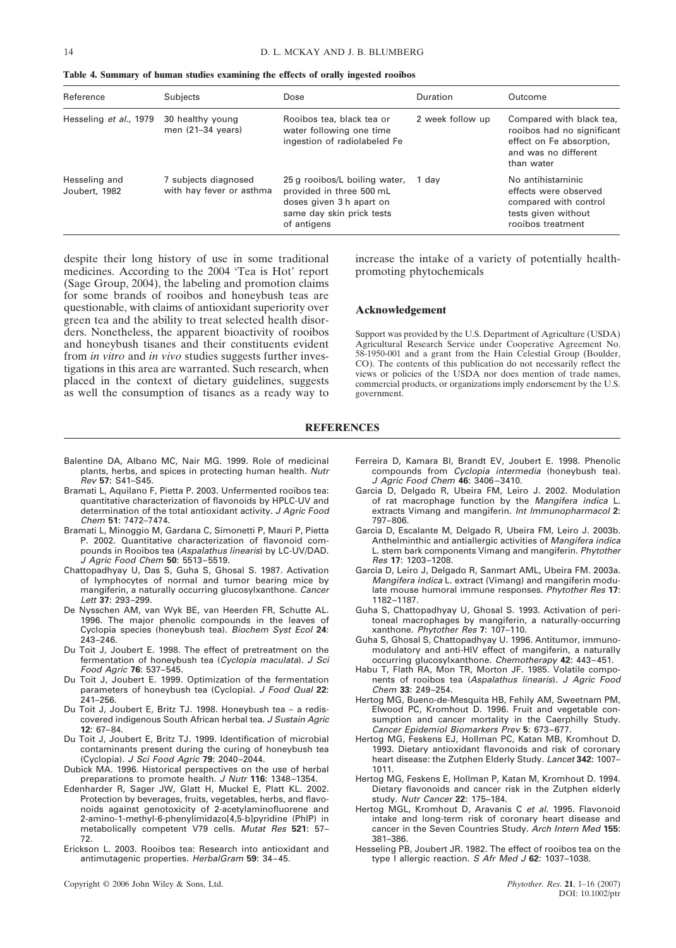| Reference                      | Subjects                                         | Dose                                                                                                                              | Duration         | Outcome                                                                                                                  |
|--------------------------------|--------------------------------------------------|-----------------------------------------------------------------------------------------------------------------------------------|------------------|--------------------------------------------------------------------------------------------------------------------------|
| Hesseling et al., 1979         | 30 healthy young<br>men $(21-34 \text{ years})$  | Rooibos tea, black tea or<br>water following one time<br>ingestion of radiolabeled Fe                                             | 2 week follow up | Compared with black tea,<br>rooibos had no significant<br>effect on Fe absorption,<br>and was no different<br>than water |
| Hesseling and<br>Joubert, 1982 | 7 subjects diagnosed<br>with hay fever or asthma | 25 g rooibos/L boiling water,<br>provided in three 500 mL<br>doses given 3 h apart on<br>same day skin prick tests<br>of antigens | 1 dav            | No antihistaminic<br>effects were observed<br>compared with control<br>tests given without<br>rooibos treatment          |

**Table 4. Summary of human studies examining the effects of orally ingested rooibos**

despite their long history of use in some traditional medicines. According to the 2004 'Tea is Hot' report (Sage Group, 2004), the labeling and promotion claims for some brands of rooibos and honeybush teas are questionable, with claims of antioxidant superiority over green tea and the ability to treat selected health disorders. Nonetheless, the apparent bioactivity of rooibos and honeybush tisanes and their constituents evident from *in vitro* and *in vivo* studies suggests further investigations in this area are warranted. Such research, when placed in the context of dietary guidelines, suggests as well the consumption of tisanes as a ready way to increase the intake of a variety of potentially healthpromoting phytochemicals

# **Acknowledgement**

Support was provided by the U.S. Department of Agriculture (USDA) Agricultural Research Service under Cooperative Agreement No. 58-1950-001 and a grant from the Hain Celestial Group (Boulder, CO). The contents of this publication do not necessarily reflect the views or policies of the USDA nor does mention of trade names, commercial products, or organizations imply endorsement by the U.S. government.

#### **REFERENCES**

- Balentine DA, Albano MC, Nair MG. 1999. Role of medicinal plants, herbs, and spices in protecting human health. Nutr Rev **57**: S41–S45.
- Bramati L, Aquilano F, Pietta P. 2003. Unfermented rooibos tea: quantitative characterization of flavonoids by HPLC-UV and determination of the total antioxidant activity. J Agric Food Chem **51**: 7472–7474.
- Bramati L, Minoggio M, Gardana C, Simonetti P, Mauri P, Pietta P. 2002. Quantitative characterization of flavonoid compounds in Rooibos tea (Aspalathus linearis) by LC-UV/DAD. J Agric Food Chem **50**: 5513–5519.
- Chattopadhyay U, Das S, Guha S, Ghosal S. 1987. Activation of lymphocytes of normal and tumor bearing mice by mangiferin, a naturally occurring glucosylxanthone. Cancer Lett **37**: 293–299.
- De Nysschen AM, van Wyk BE, van Heerden FR, Schutte AL. 1996. The major phenolic compounds in the leaves of Cyclopia species (honeybush tea). Biochem Syst Ecol **24**: 243–246.
- Du Toit J, Joubert E. 1998. The effect of pretreatment on the fermentation of honeybush tea (Cyclopia maculata). J Sci Food Agric **76**: 537–545.
- Du Toit J, Joubert E. 1999. Optimization of the fermentation parameters of honeybush tea (Cyclopia). J Food Qual **22**: 241–256.
- Du Toit J, Joubert E, Britz TJ. 1998. Honeybush tea a rediscovered indigenous South African herbal tea. J Sustain Agric **12**: 67–84.
- Du Toit J, Joubert E, Britz TJ. 1999. Identification of microbial contaminants present during the curing of honeybush tea (Cyclopia). J Sci Food Agric **79**: 2040–2044.
- Dubick MA. 1996. Historical perspectives on the use of herbal preparations to promote health. J Nutr **116**: 1348–1354.
- Edenharder R, Sager JW, Glatt H, Muckel E, Platt KL. 2002. Protection by beverages, fruits, vegetables, herbs, and flavonoids against genotoxicity of 2-acetylaminofluorene and 2-amino-1-methyl-6-phenylimidazo[4,5-b]pyridine (PhIP) in metabolically competent V79 cells. Mutat Res **521**: 57– 72.
- Erickson L. 2003. Rooibos tea: Research into antioxidant and antimutagenic properties. HerbalGram **59**: 34–45.

Copyright © 2006 John Wiley & Sons, Ltd. *Phytother. Res*. **21**, 1–16 (2007)

- Ferreira D, Kamara BI, Brandt EV, Joubert E. 1998. Phenolic compounds from Cyclopia intermedia (honeybush tea). J Agric Food Chem **46**: 3406 –3410.
- Garcia D, Delgado R, Ubeira FM, Leiro J. 2002. Modulation of rat macrophage function by the Mangifera indica L. extracts Vimang and mangiferin. Int Immunopharmacol **2**: 797–806.
- Garcia D, Escalante M, Delgado R, Ubeira FM, Leiro J. 2003b. Anthelminthic and antiallergic activities of Mangifera indica L. stem bark components Vimang and mangiferin. Phytother Res **17**: 1203–1208.
- Garcia D, Leiro J, Delgado R, Sanmart AML, Ubeira FM. 2003a. Mangifera indica L. extract (Vimang) and mangiferin modulate mouse humoral immune responses. Phytother Res **17**: 1182–1187.
- Guha S, Chattopadhyay U, Ghosal S. 1993. Activation of peritoneal macrophages by mangiferin, a naturally-occurring xanthone. Phytother Res **7**: 107–110.
- Guha S, Ghosal S, Chattopadhyay U. 1996. Antitumor, immunomodulatory and anti-HIV effect of mangiferin, a naturally occurring glucosylxanthone. Chemotherapy **42**: 443–451.
- Habu T, Flath RA, Mon TR, Morton JF. 1985. Volatile components of rooibos tea (Aspalathus linearis). J Agric Food Chem **33**: 249–254.
- Hertog MG, Bueno-de-Mesquita HB, Fehily AM, Sweetnam PM, Elwood PC, Kromhout D. 1996. Fruit and vegetable consumption and cancer mortality in the Caerphilly Study. Cancer Epidemiol Biomarkers Prev **5**: 673–677.
- Hertog MG, Feskens EJ, Hollman PC, Katan MB, Kromhout D. 1993. Dietary antioxidant flavonoids and risk of coronary heart disease: the Zutphen Elderly Study. Lancet **342**: 1007– 1011.
- Hertog MG, Feskens E, Hollman P, Katan M, Kromhout D. 1994. Dietary flavonoids and cancer risk in the Zutphen elderly study. Nutr Cancer **22**: 175–184.
- Hertog MGL, Kromhout D, Aravanis C et al. 1995. Flavonoid intake and long-term risk of coronary heart disease and cancer in the Seven Countries Study. Arch Intern Med **155**: 381–386.
- Hesseling PB, Joubert JR. 1982. The effect of rooibos tea on the type I allergic reaction. S Afr Med J **62**: 1037–1038.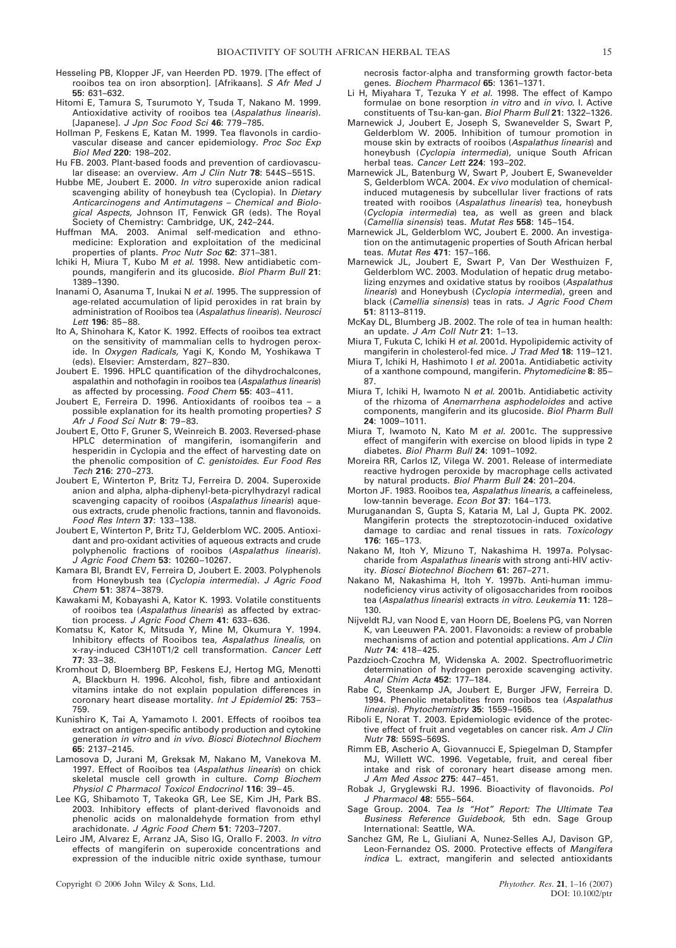- Hesseling PB, Klopper JF, van Heerden PD. 1979. [The effect of rooibos tea on iron absorption]. [Afrikaans]. S Afr Med J **55**: 631–632.
- Hitomi E, Tamura S, Tsurumoto Y, Tsuda T, Nakano M. 1999. Antioxidative activity of rooibos tea (Aspalathus linearis). [Japanese]. J Jpn Soc Food Sci **46**: 779–785.
- Hollman P, Feskens E, Katan M. 1999. Tea flavonols in cardiovascular disease and cancer epidemiology. Proc Soc Exp Biol Med **220**: 198–202.
- Hu FB. 2003. Plant-based foods and prevention of cardiovascular disease: an overview. Am J Clin Nutr **78**: 544S–551S.
- Hubbe ME, Joubert E. 2000. In vitro superoxide anion radical scavenging ability of honeybush tea (Cyclopia). In Dietary Anticarcinogens and Antimutagens – Chemical and Biological Aspects, Johnson IT, Fenwick GR (eds). The Royal Society of Chemistry: Cambridge, UK, 242–244.
- Huffman MA. 2003. Animal self-medication and ethnomedicine: Exploration and exploitation of the medicinal properties of plants. Proc Nutr Soc **62**: 371–381.
- Ichiki H, Miura T, Kubo M et al. 1998. New antidiabetic compounds, mangiferin and its glucoside. Biol Pharm Bull **21**: 1389–1390.
- Inanami O, Asanuma T, Inukai N et al. 1995. The suppression of age-related accumulation of lipid peroxides in rat brain by administration of Rooibos tea (Aspalathus linearis). Neurosci Lett **196**: 85–88.
- Ito A, Shinohara K, Kator K. 1992. Effects of rooibos tea extract on the sensitivity of mammalian cells to hydrogen peroxide. In Oxygen Radicals, Yagi K, Kondo M, Yoshikawa T (eds). Elsevier: Amsterdam, 827–830.
- Joubert E. 1996. HPLC quantification of the dihydrochalcones, aspalathin and nothofagin in rooibos tea (Aspalathus linearis) as affected by processing. Food Chem **55**: 403–411.
- Joubert E, Ferreira D. 1996. Antioxidants of rooibos tea a possible explanation for its health promoting properties? S Afr J Food Sci Nutr **8**: 79–83.
- Joubert E, Otto F, Gruner S, Weinreich B. 2003. Reversed-phase HPLC determination of mangiferin, isomangiferin and hesperidin in Cyclopia and the effect of harvesting date on the phenolic composition of C. genistoides. Eur Food Res Tech **216**: 270–273.
- Joubert E, Winterton P, Britz TJ, Ferreira D. 2004. Superoxide anion and alpha, alpha-diphenyl-beta-picrylhydrazyl radical scavenging capacity of rooibos (Aspalathus linearis) aqueous extracts, crude phenolic fractions, tannin and flavonoids. Food Res Intern **37**: 133–138.
- Joubert E, Winterton P, Britz TJ, Gelderblom WC. 2005. Antioxidant and pro-oxidant activities of aqueous extracts and crude polyphenolic fractions of rooibos (Aspalathus linearis). J Agric Food Chem **53**: 10260–10267.
- Kamara BI, Brandt EV, Ferreira D, Joubert E. 2003. Polyphenols from Honeybush tea (Cyclopia intermedia). J Agric Food Chem **51**: 3874–3879.
- Kawakami M, Kobayashi A, Kator K. 1993. Volatile constituents of rooibos tea (Aspalathus linearis) as affected by extraction process. J Agric Food Chem **41**: 633–636.
- Komatsu K, Kator K, Mitsuda Y, Mine M, Okumura Y. 1994. Inhibitory effects of Rooibos tea, Aspalathus linealis, on x-ray-induced C3H10T1/2 cell transformation. Cancer Lett **77**: 33–38.
- Kromhout D, Bloemberg BP, Feskens EJ, Hertog MG, Menotti A, Blackburn H. 1996. Alcohol, fish, fibre and antioxidant vitamins intake do not explain population differences in coronary heart disease mortality. Int J Epidemiol **25**: 753– 759.
- Kunishiro K, Tai A, Yamamoto I. 2001. Effects of rooibos tea extract on antigen-specific antibody production and cytokine generation in vitro and in vivo. Biosci Biotechnol Biochem **65**: 2137–2145.
- Lamosova D, Jurani M, Greksak M, Nakano M, Vanekova M. 1997. Effect of Rooibos tea (Aspalathus linearis) on chick skeletal muscle cell growth in culture. Comp Biochem Physiol C Pharmacol Toxicol Endocrinol **116**: 39–45.
- Lee KG, Shibamoto T, Takeoka GR, Lee SE, Kim JH, Park BS. 2003. Inhibitory effects of plant-derived flavonoids and phenolic acids on malonaldehyde formation from ethyl arachidonate. J Agric Food Chem **51**: 7203–7207.
- Leiro JM, Alvarez E, Arranz JA, Siso IG, Orallo F. 2003. In vitro effects of mangiferin on superoxide concentrations and expression of the inducible nitric oxide synthase, tumour

necrosis factor-alpha and transforming growth factor-beta genes. Biochem Pharmacol **65**: 1361–1371.

- Li H, Miyahara T, Tezuka Y et al. 1998. The effect of Kampo formulae on bone resorption in vitro and in vivo. I. Active constituents of Tsu-kan-gan. Biol Pharm Bull **21**: 1322–1326.
- Marnewick J, Joubert E, Joseph S, Swanevelder S, Swart P, Gelderblom W. 2005. Inhibition of tumour promotion in mouse skin by extracts of rooibos (Aspalathus linearis) and honeybush (Cyclopia intermedia), unique South African herbal teas. Cancer Lett **224**: 193–202.
- Marnewick JL, Batenburg W, Swart P, Joubert E, Swanevelder S, Gelderblom WCA. 2004. Ex vivo modulation of chemicalinduced mutagenesis by subcellular liver fractions of rats treated with rooibos (Aspalathus linearis) tea, honeybush (Cyclopia intermedia) tea, as well as green and black (Camellia sinensis) teas. Mutat Res **558**: 145–154.
- Marnewick JL, Gelderblom WC, Joubert E. 2000. An investigation on the antimutagenic properties of South African herbal teas. Mutat Res **471**: 157–166.
- Marnewick JL, Joubert E, Swart P, Van Der Westhuizen F, Gelderblom WC. 2003. Modulation of hepatic drug metabolizing enzymes and oxidative status by rooibos (Aspalathus linearis) and Honeybush (Cyclopia intermedia), green and black (Camellia sinensis) teas in rats. J Agric Food Chem **51**: 8113–8119.
- McKay DL, Blumberg JB. 2002. The role of tea in human health: an update. J Am Coll Nutr **21**: 1–13.
- Miura T, Fukuta C, Ichiki H et al. 2001d. Hypolipidemic activity of mangiferin in cholesterol-fed mice. J Trad Med **18**: 119–121.
- Miura T, Ichiki H, Hashimoto I et al. 2001a. Antidiabetic activity of a xanthone compound, mangiferin. Phytomedicine **8**: 85– 87.
- Miura T, Ichiki H, Iwamoto N et al. 2001b. Antidiabetic activity of the rhizoma of Anemarrhena asphodeloides and active components, mangiferin and its glucoside. Biol Pharm Bull **24**: 1009–1011.
- Miura T, Iwamoto N, Kato M et al. 2001c. The suppressive effect of mangiferin with exercise on blood lipids in type 2 diabetes. Biol Pharm Bull **24**: 1091–1092.
- Moreira RR, Carlos IZ, Vilega W. 2001. Release of intermediate reactive hydrogen peroxide by macrophage cells activated by natural products. Biol Pharm Bull **24**: 201–204.
- Morton JF. 1983. Rooibos tea, Aspalathus linearis, a caffeineless, low-tannin beverage. Econ Bot **37**: 164–173.
- Muruganandan S, Gupta S, Kataria M, Lal J, Gupta PK. 2002. Mangiferin protects the streptozotocin-induced oxidative damage to cardiac and renal tissues in rats. Toxicology **176**: 165–173.
- Nakano M, Itoh Y, Mizuno T, Nakashima H. 1997a. Polysaccharide from Aspalathus linearis with strong anti-HIV activity. Biosci Biotechnol Biochem **61**: 267–271.
- Nakano M, Nakashima H, Itoh Y. 1997b. Anti-human immunodeficiency virus activity of oligosaccharides from rooibos tea (Aspalathus linearis) extracts in vitro. Leukemia **11**: 128– 130.
- Nijveldt RJ, van Nood E, van Hoorn DE, Boelens PG, van Norren K, van Leeuwen PA. 2001. Flavonoids: a review of probable mechanisms of action and potential applications. Am J Clin Nutr **74**: 418–425.
- Pazdzioch-Czochra M, Widenska A. 2002. Spectrofluorimetric determination of hydrogen peroxide scavenging activity. Anal Chim Acta **452**: 177–184.
- Rabe C, Steenkamp JA, Joubert E, Burger JFW, Ferreira D. 1994. Phenolic metabolites from rooibos tea (Aspalathus linearis). Phytochemistry **35**: 1559–1565.
- Riboli E, Norat T. 2003. Epidemiologic evidence of the protective effect of fruit and vegetables on cancer risk. Am J Clin Nutr **78**: 559S–569S.
- Rimm EB, Ascherio A, Giovannucci E, Spiegelman D, Stampfer MJ, Willett WC. 1996. Vegetable, fruit, and cereal fiber intake and risk of coronary heart disease among men. J Am Med Assoc **275**: 447–451.
- Robak J, Gryglewski RJ. 1996. Bioactivity of flavonoids. Pol J Pharmacol **48**: 555–564.
- Sage Group. 2004. Tea Is "Hot" Report: The Ultimate Tea Business Reference Guidebook, 5th edn. Sage Group International: Seattle, WA.
- Sanchez GM, Re L, Giuliani A, Nunez-Selles AJ, Davison GP, Leon-Fernandez OS. 2000. Protective effects of Mangifera indica L. extract, mangiferin and selected antioxidants